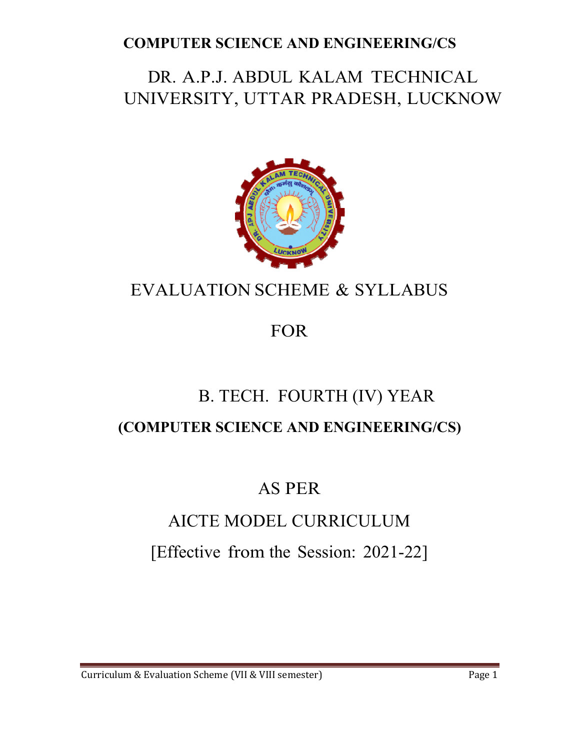# DR. A.P.J. ABDUL KALAM TECHNICAL UNIVERSITY, UTTAR PRADESH, LUCKNOW



# EVALUATION SCHEME & SYLLABUS

# FOR

# B. TECH. FOURTH (IV) YEAR **(COMPUTER SCIENCE AND ENGINEERING/CS)**

# AS PER

# AICTE MODEL CURRICULUM

# [Effective from the Session: 2021-22]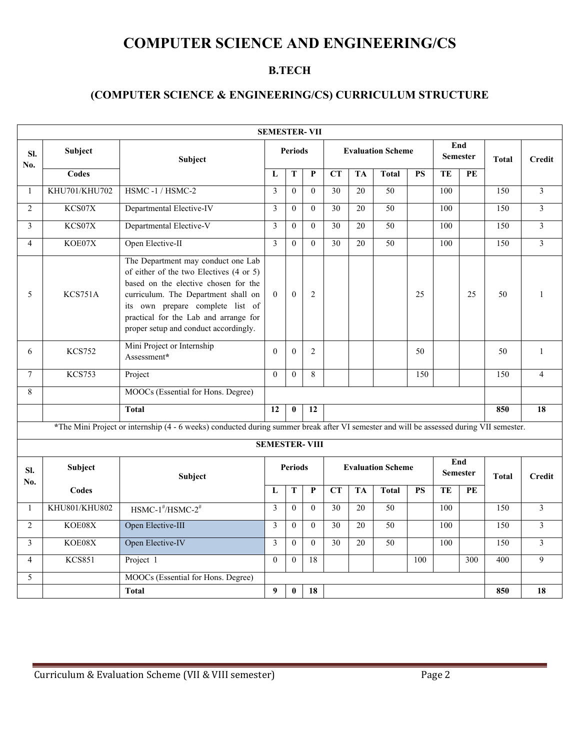#### **B.TECH**

#### **(COMPUTER SCIENCE & ENGINEERING/CS) CURRICULUM STRUCTURE**

| <b>SEMESTER-VII</b> |               |                                                                                                                                                                                                                                                                                    |                |                |                      |                        |           |                          |                        |     |                          |              |                |  |  |                        |  |              |               |
|---------------------|---------------|------------------------------------------------------------------------------------------------------------------------------------------------------------------------------------------------------------------------------------------------------------------------------------|----------------|----------------|----------------------|------------------------|-----------|--------------------------|------------------------|-----|--------------------------|--------------|----------------|--|--|------------------------|--|--------------|---------------|
| SI.<br>No.          | Subject       | <b>Subject</b>                                                                                                                                                                                                                                                                     |                | <b>Periods</b> |                      |                        |           | <b>Evaluation Scheme</b> |                        | End | <b>Semester</b>          | <b>Total</b> | <b>Credit</b>  |  |  |                        |  |              |               |
|                     | Codes         |                                                                                                                                                                                                                                                                                    | L              | T              | P                    | CT                     | <b>TA</b> | <b>Total</b>             | <b>PS</b>              | TE  | PE                       |              |                |  |  |                        |  |              |               |
| $\mathbf{1}$        | KHU701/KHU702 | HSMC-1/HSMC-2                                                                                                                                                                                                                                                                      | 3              | $\overline{0}$ | $\theta$             | 30                     | 20        | 50                       |                        | 100 |                          | 150          | $\overline{3}$ |  |  |                        |  |              |               |
| $\overline{2}$      | KCS07X        | Departmental Elective-IV                                                                                                                                                                                                                                                           | 3              | $\theta$       | $\theta$             | 30                     | 20        | 50                       |                        | 100 |                          | 150          | 3              |  |  |                        |  |              |               |
| $\overline{3}$      | KCS07X        | Departmental Elective-V                                                                                                                                                                                                                                                            | $\overline{3}$ | $\overline{0}$ | $\theta$             | 30                     | 20        | 50                       |                        | 100 |                          | 150          | 3              |  |  |                        |  |              |               |
| $\overline{4}$      | KOE07X        | Open Elective-II                                                                                                                                                                                                                                                                   | 3              | $\theta$       | $\theta$             | 30                     | 20        | 50                       |                        | 100 |                          | 150          | $\overline{3}$ |  |  |                        |  |              |               |
| 5                   | KCS751A       | The Department may conduct one Lab<br>of either of the two Electives (4 or 5)<br>based on the elective chosen for the<br>curriculum. The Department shall on<br>its own prepare complete list of<br>practical for the Lab and arrange for<br>proper setup and conduct accordingly. | $\theta$       | $\theta$       | $\overline{2}$       |                        |           |                          | 25                     |     | 25                       | 50           | 1              |  |  |                        |  |              |               |
| 6                   | <b>KCS752</b> | Mini Project or Internship<br>Assessment*                                                                                                                                                                                                                                          | $\Omega$       | $\theta$       | $\overline{2}$       |                        |           |                          | 50                     |     |                          | 50           | $\mathbf{1}$   |  |  |                        |  |              |               |
| $\overline{7}$      | <b>KCS753</b> | Project                                                                                                                                                                                                                                                                            | $\Omega$       | $\theta$       | $\,8\,$              |                        |           |                          | 150                    |     |                          | 150          | $\overline{4}$ |  |  |                        |  |              |               |
| 8                   |               | MOOCs (Essential for Hons. Degree)                                                                                                                                                                                                                                                 |                |                |                      |                        |           |                          |                        |     |                          |              |                |  |  |                        |  |              |               |
|                     |               | <b>Total</b>                                                                                                                                                                                                                                                                       | 12             | $\mathbf{0}$   | 12                   |                        |           |                          |                        |     |                          | 850          | 18             |  |  |                        |  |              |               |
|                     |               | *The Mini Project or internship (4 - 6 weeks) conducted during summer break after VI semester and will be assessed during VII semester.                                                                                                                                            |                |                |                      |                        |           |                          |                        |     |                          |              |                |  |  |                        |  |              |               |
|                     |               |                                                                                                                                                                                                                                                                                    |                |                | <b>SEMESTER-VIII</b> |                        |           |                          |                        |     |                          |              |                |  |  |                        |  |              |               |
| SI.<br>No.          | Subject       | Subject                                                                                                                                                                                                                                                                            | <b>Periods</b> |                |                      |                        |           |                          |                        |     | <b>Evaluation Scheme</b> |              |                |  |  | End<br><b>Semester</b> |  | <b>Total</b> | <b>Credit</b> |
|                     | Codes         |                                                                                                                                                                                                                                                                                    | L              | T              | $\overline{P}$       | $\overline{\text{CT}}$ | <b>TA</b> | <b>Total</b>             | $\overline{\text{PS}}$ | TE  | $\overline{\text{PE}}$   |              |                |  |  |                        |  |              |               |
| $\mathbf{1}$        | KHU801/KHU802 | $HSMC-1^{\#}/HSMC-2^{\#}$                                                                                                                                                                                                                                                          | 3              | $\overline{0}$ | $\mathbf{0}$         | 30                     | 20        | 50                       |                        | 100 |                          | 150          | $\overline{3}$ |  |  |                        |  |              |               |
| $\overline{2}$      | KOE08X        | Open Elective-III                                                                                                                                                                                                                                                                  | 3              | $\mathbf{0}$   | $\mathbf{0}$         | 30                     | 20        | 50                       |                        | 100 |                          | 150          | $\overline{3}$ |  |  |                        |  |              |               |
| 3                   | KOE08X        | Open Elective-IV                                                                                                                                                                                                                                                                   | 3              | $\theta$       | $\Omega$             | 30                     | 20        | 50                       |                        | 100 |                          | 150          | 3              |  |  |                        |  |              |               |
| $\overline{4}$      | <b>KCS851</b> | Project 1                                                                                                                                                                                                                                                                          | $\Omega$       | $\theta$       | 18                   |                        |           |                          | 100                    |     | 300                      | 400          | 9              |  |  |                        |  |              |               |
| 5                   |               | MOOCs (Essential for Hons. Degree)                                                                                                                                                                                                                                                 |                |                |                      |                        |           |                          |                        |     |                          |              |                |  |  |                        |  |              |               |
|                     |               | <b>Total</b>                                                                                                                                                                                                                                                                       | 9              | $\bf{0}$       | 18                   |                        |           |                          |                        |     |                          | 850          | 18             |  |  |                        |  |              |               |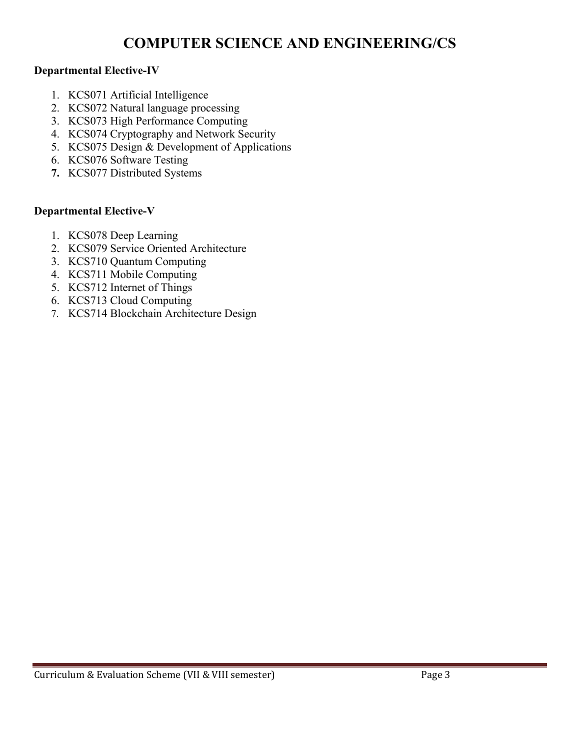#### **Departmental Elective-IV**

- 1. KCS071 Artificial Intelligence
- 2. KCS072 Natural language processing
- 3. KCS073 High Performance Computing
- 4. KCS074 Cryptography and Network Security
- 5. KCS075 Design & Development of Applications
- 6. KCS076 Software Testing
- **7.** KCS077 Distributed Systems

#### **Departmental Elective-V**

- 1. KCS078 Deep Learning
- 2. KCS079 Service Oriented Architecture
- 3. KCS710 Quantum Computing
- 4. KCS711 Mobile Computing
- 5. KCS712 Internet of Things
- 6. KCS713 Cloud Computing
- 7. KCS714 Blockchain Architecture Design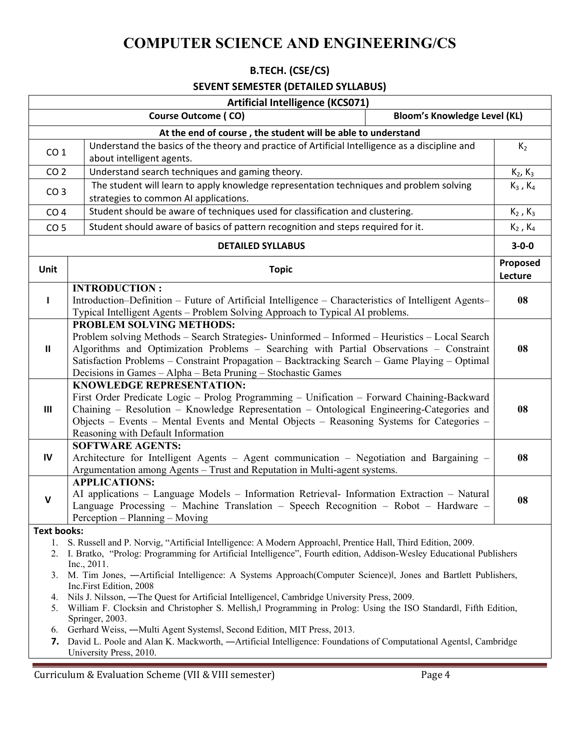#### **B.TECH. (CSE/CS)**

#### **SEVENT SEMESTER (DETAILED SYLLABUS)**

|                                                                                                                                                                                                                                                         | <b>Artificial Intelligence (KCS071)</b>                                                                                                                                                                                                                                                                                                                                                |                     |  |  |  |
|---------------------------------------------------------------------------------------------------------------------------------------------------------------------------------------------------------------------------------------------------------|----------------------------------------------------------------------------------------------------------------------------------------------------------------------------------------------------------------------------------------------------------------------------------------------------------------------------------------------------------------------------------------|---------------------|--|--|--|
|                                                                                                                                                                                                                                                         | <b>Course Outcome (CO)</b><br><b>Bloom's Knowledge Level (KL)</b>                                                                                                                                                                                                                                                                                                                      |                     |  |  |  |
|                                                                                                                                                                                                                                                         | At the end of course, the student will be able to understand                                                                                                                                                                                                                                                                                                                           |                     |  |  |  |
| CO <sub>1</sub>                                                                                                                                                                                                                                         | Understand the basics of the theory and practice of Artificial Intelligence as a discipline and                                                                                                                                                                                                                                                                                        | $K_2$               |  |  |  |
|                                                                                                                                                                                                                                                         | about intelligent agents.                                                                                                                                                                                                                                                                                                                                                              |                     |  |  |  |
| CO <sub>2</sub>                                                                                                                                                                                                                                         | Understand search techniques and gaming theory.                                                                                                                                                                                                                                                                                                                                        | $K_2, K_3$          |  |  |  |
| CO <sub>3</sub>                                                                                                                                                                                                                                         | The student will learn to apply knowledge representation techniques and problem solving                                                                                                                                                                                                                                                                                                |                     |  |  |  |
|                                                                                                                                                                                                                                                         | strategies to common AI applications.                                                                                                                                                                                                                                                                                                                                                  |                     |  |  |  |
| CO <sub>4</sub>                                                                                                                                                                                                                                         | Student should be aware of techniques used for classification and clustering.                                                                                                                                                                                                                                                                                                          | $K_2$ , $K_3$       |  |  |  |
| CO <sub>5</sub>                                                                                                                                                                                                                                         | Student should aware of basics of pattern recognition and steps required for it.                                                                                                                                                                                                                                                                                                       | $K_2$ , $K_4$       |  |  |  |
|                                                                                                                                                                                                                                                         | <b>DETAILED SYLLABUS</b>                                                                                                                                                                                                                                                                                                                                                               | $3 - 0 - 0$         |  |  |  |
| Unit                                                                                                                                                                                                                                                    | <b>Topic</b>                                                                                                                                                                                                                                                                                                                                                                           | Proposed<br>Lecture |  |  |  |
| $\mathbf{I}$                                                                                                                                                                                                                                            | <b>INTRODUCTION:</b><br>Introduction-Definition – Future of Artificial Intelligence – Characteristics of Intelligent Agents–<br>Typical Intelligent Agents - Problem Solving Approach to Typical AI problems.                                                                                                                                                                          | 08                  |  |  |  |
| Ш                                                                                                                                                                                                                                                       | PROBLEM SOLVING METHODS:<br>Problem solving Methods – Search Strategies- Uninformed – Informed – Heuristics – Local Search<br>Algorithms and Optimization Problems - Searching with Partial Observations - Constraint<br>Satisfaction Problems – Constraint Propagation – Backtracking Search – Game Playing – Optimal<br>Decisions in Games - Alpha - Beta Pruning - Stochastic Games | 08                  |  |  |  |
| Ш                                                                                                                                                                                                                                                       | <b>KNOWLEDGE REPRESENTATION:</b><br>First Order Predicate Logic - Prolog Programming - Unification - Forward Chaining-Backward<br>Chaining - Resolution - Knowledge Representation - Ontological Engineering-Categories and<br>Objects - Events - Mental Events and Mental Objects - Reasoning Systems for Categories -<br>Reasoning with Default Information                          | 08                  |  |  |  |
| IV                                                                                                                                                                                                                                                      | <b>SOFTWARE AGENTS:</b><br>Architecture for Intelligent Agents – Agent communication – Negotiation and Bargaining –<br>Argumentation among Agents - Trust and Reputation in Multi-agent systems.                                                                                                                                                                                       | 08                  |  |  |  |
| $\mathbf v$                                                                                                                                                                                                                                             | <b>APPLICATIONS:</b><br>AI applications - Language Models - Information Retrieval- Information Extraction - Natural<br>Language Processing - Machine Translation - Speech Recognition - Robot - Hardware -<br>Perception - Planning - Moving                                                                                                                                           | 08                  |  |  |  |
| Text books:                                                                                                                                                                                                                                             |                                                                                                                                                                                                                                                                                                                                                                                        |                     |  |  |  |
| S. Russell and P. Norvig, "Artificial Intelligence: A Modern Approachl, Prentice Hall, Third Edition, 2009.<br>1.<br>I. Bratko, "Prolog: Programming for Artificial Intelligence", Fourth edition, Addison-Wesley Educational Publishers<br>Inc., 2011. |                                                                                                                                                                                                                                                                                                                                                                                        |                     |  |  |  |
| 3.                                                                                                                                                                                                                                                      | M. Tim Jones, -Artificial Intelligence: A Systems Approach(Computer Science), Jones and Bartlett Publishers,<br>Inc.First Edition, 2008                                                                                                                                                                                                                                                |                     |  |  |  |
| 4.<br>5.                                                                                                                                                                                                                                                | Nils J. Nilsson, —The Quest for Artificial Intelligencel, Cambridge University Press, 2009.<br>William F. Clocksin and Christopher S. Mellish, Programming in Prolog: Using the ISO Standard h, Fifth Edition,<br>Springer, 2003.                                                                                                                                                      |                     |  |  |  |
| 6.                                                                                                                                                                                                                                                      | Gerhard Weiss, -Multi Agent Systemsl, Second Edition, MIT Press, 2013.                                                                                                                                                                                                                                                                                                                 |                     |  |  |  |
| 7.                                                                                                                                                                                                                                                      | David L. Poole and Alan K. Mackworth, - Artificial Intelligence: Foundations of Computational Agentsl, Cambridge<br>University Press, 2010.                                                                                                                                                                                                                                            |                     |  |  |  |

Curriculum & Evaluation Scheme (VII & VIII semester) Page 4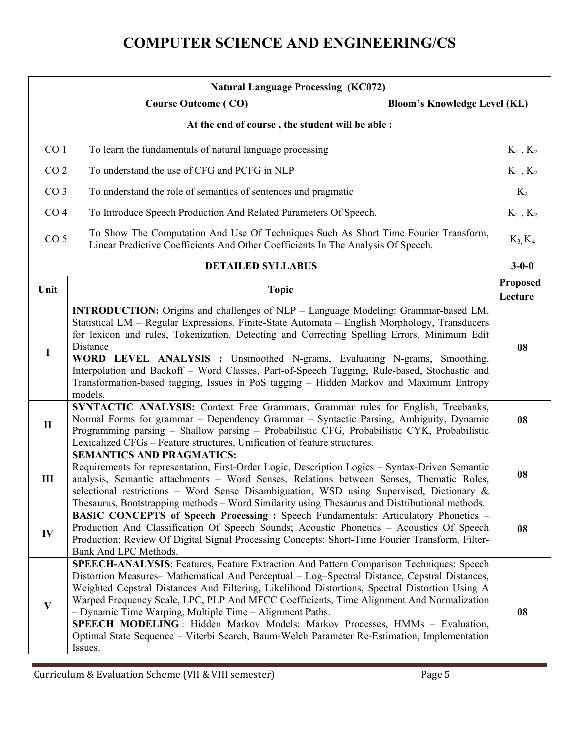| <b>Natural Language Processing (KC072)</b>       |                                                                                                                                                                                                                                                                                                                                                                                                                                                                                                                                                                                                                                             |                                     |                                 |  |  |
|--------------------------------------------------|---------------------------------------------------------------------------------------------------------------------------------------------------------------------------------------------------------------------------------------------------------------------------------------------------------------------------------------------------------------------------------------------------------------------------------------------------------------------------------------------------------------------------------------------------------------------------------------------------------------------------------------------|-------------------------------------|---------------------------------|--|--|
|                                                  | <b>Course Outcome (CO)</b>                                                                                                                                                                                                                                                                                                                                                                                                                                                                                                                                                                                                                  | <b>Bloom's Knowledge Level (KL)</b> |                                 |  |  |
| At the end of course, the student will be able : |                                                                                                                                                                                                                                                                                                                                                                                                                                                                                                                                                                                                                                             |                                     |                                 |  |  |
|                                                  | CO <sub>1</sub><br>To learn the fundamentals of natural language processing                                                                                                                                                                                                                                                                                                                                                                                                                                                                                                                                                                 |                                     |                                 |  |  |
| CO <sub>2</sub>                                  | To understand the use of CFG and PCFG in NLP                                                                                                                                                                                                                                                                                                                                                                                                                                                                                                                                                                                                |                                     | $\mathrm{K}_1$ , $\mathrm{K}_2$ |  |  |
| CO <sub>3</sub>                                  | To understand the role of semantics of sentences and pragmatic                                                                                                                                                                                                                                                                                                                                                                                                                                                                                                                                                                              |                                     | $K_2$                           |  |  |
| CO <sub>4</sub>                                  | To Introduce Speech Production And Related Parameters Of Speech.                                                                                                                                                                                                                                                                                                                                                                                                                                                                                                                                                                            |                                     | $K_1$ , $K_2$                   |  |  |
| CO <sub>5</sub>                                  | To Show The Computation And Use Of Techniques Such As Short Time Fourier Transform,<br>Linear Predictive Coefficients And Other Coefficients In The Analysis Of Speech.                                                                                                                                                                                                                                                                                                                                                                                                                                                                     |                                     | $K_3, K_4$                      |  |  |
|                                                  | <b>DETAILED SYLLABUS</b>                                                                                                                                                                                                                                                                                                                                                                                                                                                                                                                                                                                                                    |                                     | $3 - 0 - 0$                     |  |  |
| Unit                                             | <b>Topic</b>                                                                                                                                                                                                                                                                                                                                                                                                                                                                                                                                                                                                                                |                                     | Proposed<br>Lecture             |  |  |
| $\mathbf I$                                      | <b>INTRODUCTION:</b> Origins and challenges of NLP - Language Modeling: Grammar-based LM,<br>Statistical LM - Regular Expressions, Finite-State Automata - English Morphology, Transducers<br>for lexicon and rules, Tokenization, Detecting and Correcting Spelling Errors, Minimum Edit<br>Distance<br>WORD LEVEL ANALYSIS : Unsmoothed N-grams, Evaluating N-grams, Smoothing,<br>Interpolation and Backoff - Word Classes, Part-of-Speech Tagging, Rule-based, Stochastic and<br>Transformation-based tagging, Issues in PoS tagging - Hidden Markov and Maximum Entropy<br>models.                                                     |                                     |                                 |  |  |
| $\mathbf{I}$                                     | SYNTACTIC ANALYSIS: Context Free Grammars, Grammar rules for English, Treebanks,<br>Normal Forms for grammar - Dependency Grammar - Syntactic Parsing, Ambiguity, Dynamic<br>Programming parsing - Shallow parsing - Probabilistic CFG, Probabilistic CYK, Probabilistic<br>Lexicalized CFGs - Feature structures, Unification of feature structures.                                                                                                                                                                                                                                                                                       |                                     | 08                              |  |  |
| Ш                                                | <b>SEMANTICS AND PRAGMATICS:</b><br>Requirements for representation, First-Order Logic, Description Logics - Syntax-Driven Semantic<br>analysis, Semantic attachments - Word Senses, Relations between Senses, Thematic Roles,<br>selectional restrictions - Word Sense Disambiguation, WSD using Supervised, Dictionary &<br>Thesaurus, Bootstrapping methods – Word Similarity using Thesaurus and Distributional methods.                                                                                                                                                                                                                |                                     |                                 |  |  |
| IV                                               | BASIC CONCEPTS of Speech Processing: Speech Fundamentals: Articulatory Phonetics -<br>Production And Classification Of Speech Sounds; Acoustic Phonetics - Acoustics Of Speech<br>Production; Review Of Digital Signal Processing Concepts; Short-Time Fourier Transform, Filter-<br>Bank And LPC Methods.                                                                                                                                                                                                                                                                                                                                  |                                     |                                 |  |  |
| $\mathbf{V}$                                     | SPEECH-ANALYSIS: Features, Feature Extraction And Pattern Comparison Techniques: Speech<br>Distortion Measures- Mathematical And Perceptual - Log-Spectral Distance, Cepstral Distances,<br>Weighted Cepstral Distances And Filtering, Likelihood Distortions, Spectral Distortion Using A<br>Warped Frequency Scale, LPC, PLP And MFCC Coefficients, Time Alignment And Normalization<br>- Dynamic Time Warping, Multiple Time - Alignment Paths.<br>SPEECH MODELING: Hidden Markov Models: Markov Processes, HMMs - Evaluation,<br>Optimal State Sequence - Viterbi Search, Baum-Welch Parameter Re-Estimation, Implementation<br>Issues. |                                     | 08                              |  |  |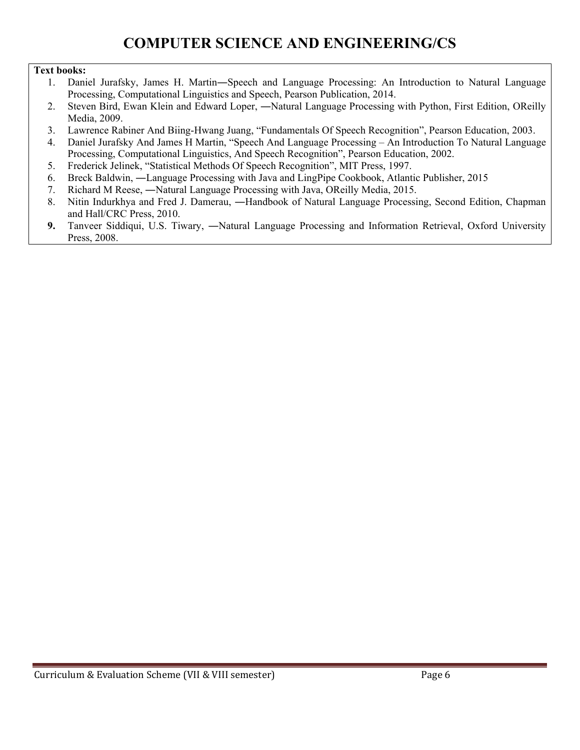#### **Text books:**

- 1. Daniel Jurafsky, James H. Martin―Speech and Language Processing: An Introduction to Natural Language Processing, Computational Linguistics and Speech, Pearson Publication, 2014.
- 2. Steven Bird, Ewan Klein and Edward Loper, —Natural Language Processing with Python, First Edition, OReilly Media, 2009.
- 3. Lawrence Rabiner And Biing-Hwang Juang, "Fundamentals Of Speech Recognition", Pearson Education, 2003.
- 4. Daniel Jurafsky And James H Martin, "Speech And Language Processing An Introduction To Natural Language Processing, Computational Linguistics, And Speech Recognition", Pearson Education, 2002.
- 5. Frederick Jelinek, "Statistical Methods Of Speech Recognition", MIT Press, 1997.
- 6. Breck Baldwin, ―Language Processing with Java and LingPipe Cookbook, Atlantic Publisher, 2015
- 7. Richard M Reese, ―Natural Language Processing with Java, OReilly Media, 2015.
- 8. Nitin Indurkhya and Fred J. Damerau, ―Handbook of Natural Language Processing, Second Edition, Chapman and Hall/CRC Press, 2010.
- **9.** Tanveer Siddiqui, U.S. Tiwary, ―Natural Language Processing and Information Retrieval, Oxford University Press, 2008.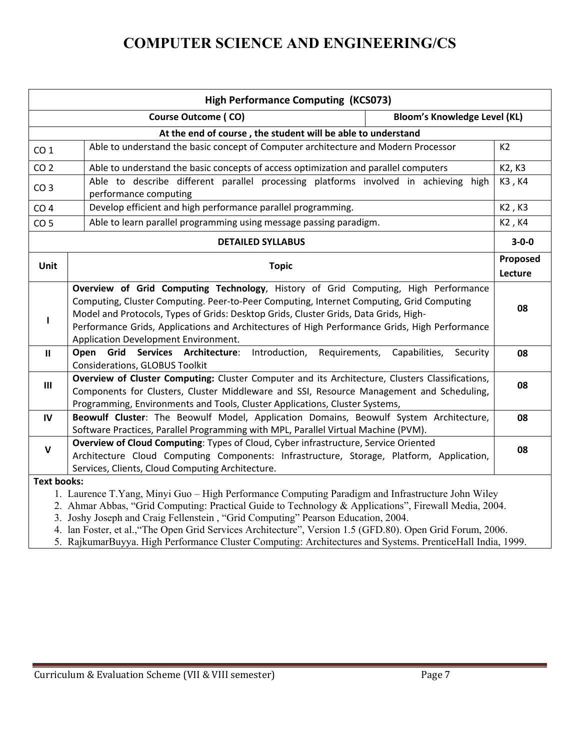| <b>High Performance Computing (KCS073)</b> |                                                                                                                                                                                                                                                                                                                                                                                                                 |             |  |  |
|--------------------------------------------|-----------------------------------------------------------------------------------------------------------------------------------------------------------------------------------------------------------------------------------------------------------------------------------------------------------------------------------------------------------------------------------------------------------------|-------------|--|--|
|                                            | <b>Course Outcome (CO)</b><br><b>Bloom's Knowledge Level (KL)</b>                                                                                                                                                                                                                                                                                                                                               |             |  |  |
|                                            | At the end of course, the student will be able to understand                                                                                                                                                                                                                                                                                                                                                    |             |  |  |
| CO <sub>1</sub>                            | Able to understand the basic concept of Computer architecture and Modern Processor                                                                                                                                                                                                                                                                                                                              | K2          |  |  |
| CO <sub>2</sub>                            | Able to understand the basic concepts of access optimization and parallel computers                                                                                                                                                                                                                                                                                                                             | K2, K3      |  |  |
| CO <sub>3</sub>                            | Able to describe different parallel processing platforms involved in achieving high<br>performance computing                                                                                                                                                                                                                                                                                                    | K3, K4      |  |  |
| CO <sub>4</sub>                            | Develop efficient and high performance parallel programming.                                                                                                                                                                                                                                                                                                                                                    | K2, K3      |  |  |
| CO <sub>5</sub>                            | Able to learn parallel programming using message passing paradigm.                                                                                                                                                                                                                                                                                                                                              | K2, K4      |  |  |
|                                            | <b>DETAILED SYLLABUS</b>                                                                                                                                                                                                                                                                                                                                                                                        | $3 - 0 - 0$ |  |  |
| Unit                                       | <b>Topic</b>                                                                                                                                                                                                                                                                                                                                                                                                    |             |  |  |
| T                                          | Overview of Grid Computing Technology, History of Grid Computing, High Performance<br>Computing, Cluster Computing. Peer-to-Peer Computing, Internet Computing, Grid Computing<br>Model and Protocols, Types of Grids: Desktop Grids, Cluster Grids, Data Grids, High-<br>Performance Grids, Applications and Architectures of High Performance Grids, High Performance<br>Application Development Environment. |             |  |  |
| $\mathbf{I}$                               | Open<br>Services Architecture:<br>Introduction,<br>Requirements,<br>Capabilities,<br>Grid<br>Security<br>Considerations, GLOBUS Toolkit                                                                                                                                                                                                                                                                         | 08          |  |  |
| III                                        | Overview of Cluster Computing: Cluster Computer and its Architecture, Clusters Classifications,<br>Components for Clusters, Cluster Middleware and SSI, Resource Management and Scheduling,<br>Programming, Environments and Tools, Cluster Applications, Cluster Systems,                                                                                                                                      | 08          |  |  |
| IV                                         | Beowulf Cluster: The Beowulf Model, Application Domains, Beowulf System Architecture,<br>Software Practices, Parallel Programming with MPL, Parallel Virtual Machine (PVM).                                                                                                                                                                                                                                     | 08          |  |  |
| $\mathbf{V}$                               | Overview of Cloud Computing: Types of Cloud, Cyber infrastructure, Service Oriented<br>Architecture Cloud Computing Components: Infrastructure, Storage, Platform, Application,<br>Services, Clients, Cloud Computing Architecture.                                                                                                                                                                             | 08          |  |  |
| <b>Text books:</b>                         | 1. Laurence T.Yang, Minyi Guo – High Performance Computing Paradigm and Infrastructure John Wiley<br>2. Ahmar Abbas, "Grid Computing: Practical Guide to Technology & Applications", Firewall Media, 2004.<br>3. Joshy Joseph and Craig Fellenstein, "Grid Computing" Pearson Education, 2004.<br>4. lan Foster, et al., "The Open Grid Services Architecture", Version 1.5 (GFD.80). Open Grid Forum, 2006.    |             |  |  |

5. RajkumarBuyya. High Performance Cluster Computing: Architectures and Systems. PrenticeHall India, 1999.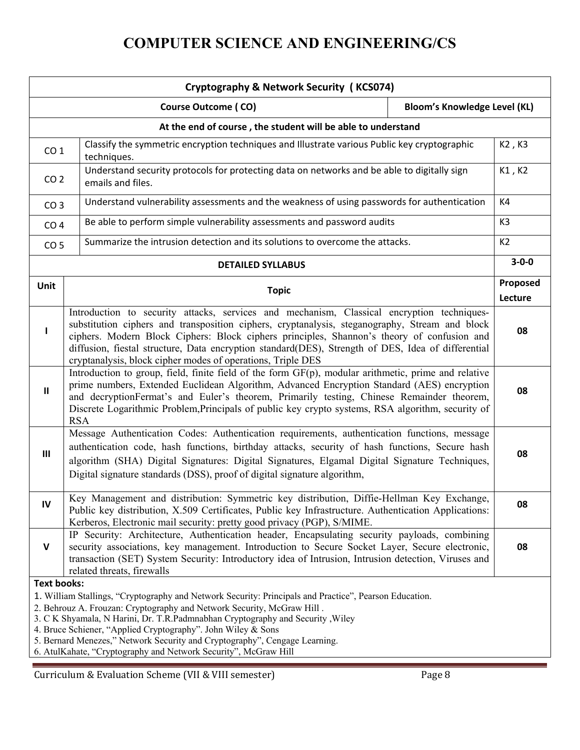|                                                                                                                                                                                                                                                                                                                                                                                                                                                                                                            | Cryptography & Network Security (KCS074)                                                                                                                                                                                                                                                                                                                                                                                                                        |  |                     |  |  |
|------------------------------------------------------------------------------------------------------------------------------------------------------------------------------------------------------------------------------------------------------------------------------------------------------------------------------------------------------------------------------------------------------------------------------------------------------------------------------------------------------------|-----------------------------------------------------------------------------------------------------------------------------------------------------------------------------------------------------------------------------------------------------------------------------------------------------------------------------------------------------------------------------------------------------------------------------------------------------------------|--|---------------------|--|--|
| <b>Bloom's Knowledge Level (KL)</b><br><b>Course Outcome (CO)</b>                                                                                                                                                                                                                                                                                                                                                                                                                                          |                                                                                                                                                                                                                                                                                                                                                                                                                                                                 |  |                     |  |  |
|                                                                                                                                                                                                                                                                                                                                                                                                                                                                                                            | At the end of course, the student will be able to understand                                                                                                                                                                                                                                                                                                                                                                                                    |  |                     |  |  |
| CO <sub>1</sub>                                                                                                                                                                                                                                                                                                                                                                                                                                                                                            | Classify the symmetric encryption techniques and Illustrate various Public key cryptographic<br>techniques.                                                                                                                                                                                                                                                                                                                                                     |  | K2, K3              |  |  |
| Understand security protocols for protecting data on networks and be able to digitally sign<br>CO <sub>2</sub><br>emails and files.                                                                                                                                                                                                                                                                                                                                                                        |                                                                                                                                                                                                                                                                                                                                                                                                                                                                 |  | K1, K2              |  |  |
| CO <sub>3</sub>                                                                                                                                                                                                                                                                                                                                                                                                                                                                                            | Understand vulnerability assessments and the weakness of using passwords for authentication                                                                                                                                                                                                                                                                                                                                                                     |  | K4                  |  |  |
| CO <sub>4</sub>                                                                                                                                                                                                                                                                                                                                                                                                                                                                                            | Be able to perform simple vulnerability assessments and password audits                                                                                                                                                                                                                                                                                                                                                                                         |  | K <sub>3</sub>      |  |  |
| CO <sub>5</sub>                                                                                                                                                                                                                                                                                                                                                                                                                                                                                            | Summarize the intrusion detection and its solutions to overcome the attacks.                                                                                                                                                                                                                                                                                                                                                                                    |  | K2                  |  |  |
|                                                                                                                                                                                                                                                                                                                                                                                                                                                                                                            | <b>DETAILED SYLLABUS</b>                                                                                                                                                                                                                                                                                                                                                                                                                                        |  | $3 - 0 - 0$         |  |  |
| Unit                                                                                                                                                                                                                                                                                                                                                                                                                                                                                                       | <b>Topic</b>                                                                                                                                                                                                                                                                                                                                                                                                                                                    |  | Proposed<br>Lecture |  |  |
| T                                                                                                                                                                                                                                                                                                                                                                                                                                                                                                          | Introduction to security attacks, services and mechanism, Classical encryption techniques-<br>substitution ciphers and transposition ciphers, cryptanalysis, steganography, Stream and block<br>ciphers. Modern Block Ciphers: Block ciphers principles, Shannon's theory of confusion and<br>diffusion, fiestal structure, Data encryption standard(DES), Strength of DES, Idea of differential<br>cryptanalysis, block cipher modes of operations, Triple DES |  |                     |  |  |
| $\mathbf{II}$                                                                                                                                                                                                                                                                                                                                                                                                                                                                                              | Introduction to group, field, finite field of the form GF(p), modular arithmetic, prime and relative<br>prime numbers, Extended Euclidean Algorithm, Advanced Encryption Standard (AES) encryption<br>and decryptionFermat's and Euler's theorem, Primarily testing, Chinese Remainder theorem,<br>Discrete Logarithmic Problem, Principals of public key crypto systems, RSA algorithm, security of<br><b>RSA</b>                                              |  | 08                  |  |  |
| III                                                                                                                                                                                                                                                                                                                                                                                                                                                                                                        | Message Authentication Codes: Authentication requirements, authentication functions, message<br>authentication code, hash functions, birthday attacks, security of hash functions, Secure hash<br>algorithm (SHA) Digital Signatures: Digital Signatures, Elgamal Digital Signature Techniques,<br>Digital signature standards (DSS), proof of digital signature algorithm,                                                                                     |  | 08                  |  |  |
| IV                                                                                                                                                                                                                                                                                                                                                                                                                                                                                                         | Key Management and distribution: Symmetric key distribution, Diffie-Hellman Key Exchange,<br>Public key distribution, X.509 Certificates, Public key Infrastructure. Authentication Applications:<br>Kerberos, Electronic mail security: pretty good privacy (PGP), S/MIME.                                                                                                                                                                                     |  | 08                  |  |  |
| $\mathsf{V}$                                                                                                                                                                                                                                                                                                                                                                                                                                                                                               | IP Security: Architecture, Authentication header, Encapsulating security payloads, combining<br>security associations, key management. Introduction to Secure Socket Layer, Secure electronic,<br>transaction (SET) System Security: Introductory idea of Intrusion, Intrusion detection, Viruses and<br>related threats, firewalls                                                                                                                             |  | 08                  |  |  |
| <b>Text books:</b><br>1. William Stallings, "Cryptography and Network Security: Principals and Practice", Pearson Education.<br>2. Behrouz A. Frouzan: Cryptography and Network Security, McGraw Hill.<br>3. C K Shyamala, N Harini, Dr. T.R.Padmnabhan Cryptography and Security , Wiley<br>4. Bruce Schiener, "Applied Cryptography". John Wiley & Sons<br>5. Bernard Menezes," Network Security and Cryptography", Cengage Learning.<br>6. AtulKahate, "Cryptography and Network Security", McGraw Hill |                                                                                                                                                                                                                                                                                                                                                                                                                                                                 |  |                     |  |  |

Curriculum & Evaluation Scheme (VII & VIII semester) Page 8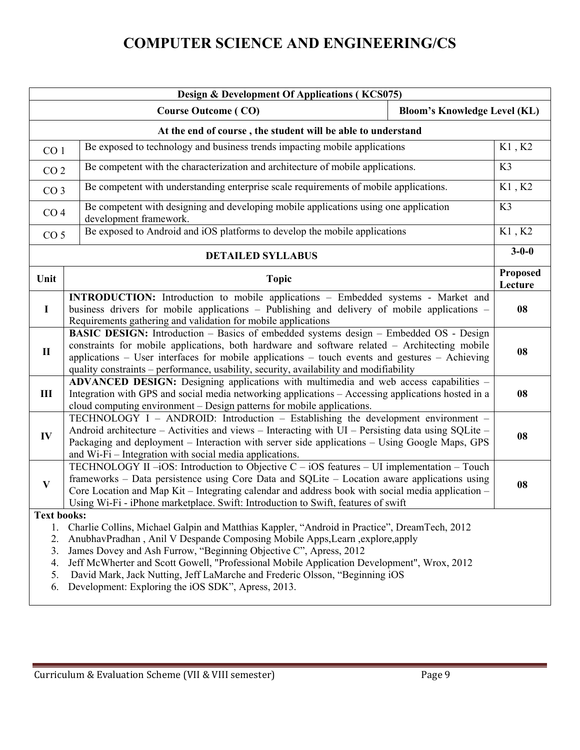| Design & Development Of Applications (KCS075)          |                                                                                                                                                                                                                                                                                                                                                                                                                                                                                      |                            |  |  |
|--------------------------------------------------------|--------------------------------------------------------------------------------------------------------------------------------------------------------------------------------------------------------------------------------------------------------------------------------------------------------------------------------------------------------------------------------------------------------------------------------------------------------------------------------------|----------------------------|--|--|
|                                                        | <b>Bloom's Knowledge Level (KL)</b><br><b>Course Outcome (CO)</b>                                                                                                                                                                                                                                                                                                                                                                                                                    |                            |  |  |
|                                                        | At the end of course, the student will be able to understand                                                                                                                                                                                                                                                                                                                                                                                                                         |                            |  |  |
| CO <sub>1</sub>                                        | Be exposed to technology and business trends impacting mobile applications                                                                                                                                                                                                                                                                                                                                                                                                           | $\rm K1$ , $\rm K2$        |  |  |
|                                                        | Be competent with the characterization and architecture of mobile applications.<br>CO <sub>2</sub>                                                                                                                                                                                                                                                                                                                                                                                   |                            |  |  |
| CO <sub>3</sub>                                        | Be competent with understanding enterprise scale requirements of mobile applications.                                                                                                                                                                                                                                                                                                                                                                                                | K1, K2                     |  |  |
| CO <sub>4</sub>                                        | Be competent with designing and developing mobile applications using one application<br>development framework.                                                                                                                                                                                                                                                                                                                                                                       | K3                         |  |  |
| CO <sub>5</sub>                                        | Be exposed to Android and iOS platforms to develop the mobile applications                                                                                                                                                                                                                                                                                                                                                                                                           | K1, K2                     |  |  |
|                                                        | <b>DETAILED SYLLABUS</b>                                                                                                                                                                                                                                                                                                                                                                                                                                                             | $3 - 0 - 0$                |  |  |
| Unit                                                   | <b>Topic</b>                                                                                                                                                                                                                                                                                                                                                                                                                                                                         | <b>Proposed</b><br>Lecture |  |  |
| $\bf{I}$                                               | <b>INTRODUCTION:</b> Introduction to mobile applications - Embedded systems - Market and<br>business drivers for mobile applications - Publishing and delivery of mobile applications -<br>Requirements gathering and validation for mobile applications                                                                                                                                                                                                                             | 08                         |  |  |
| $\mathbf{I}$                                           | BASIC DESIGN: Introduction - Basics of embedded systems design - Embedded OS - Design<br>constraints for mobile applications, both hardware and software related - Architecting mobile<br>applications - User interfaces for mobile applications - touch events and gestures - Achieving<br>quality constraints - performance, usability, security, availability and modifiability                                                                                                   | 08                         |  |  |
| III                                                    | ADVANCED DESIGN: Designing applications with multimedia and web access capabilities -<br>Integration with GPS and social media networking applications - Accessing applications hosted in a<br>cloud computing environment - Design patterns for mobile applications.                                                                                                                                                                                                                | 08                         |  |  |
| IV                                                     | TECHNOLOGY I - ANDROID: Introduction - Establishing the development environment -<br>Android architecture - Activities and views - Interacting with UI - Persisting data using SQLite -<br>Packaging and deployment - Interaction with server side applications - Using Google Maps, GPS<br>and Wi-Fi - Integration with social media applications.                                                                                                                                  | 08                         |  |  |
| $\bf{V}$                                               | TECHNOLOGY II $-iOS$ : Introduction to Objective C – iOS features – UI implementation – Touch<br>frameworks – Data persistence using Core Data and SQLite – Location aware applications using<br>Core Location and Map Kit - Integrating calendar and address book with social media application -<br>Using Wi-Fi - iPhone marketplace. Swift: Introduction to Swift, features of swift                                                                                              | 08                         |  |  |
| <b>Text books:</b><br>1.<br>2.<br>3.<br>4.<br>5.<br>6. | Charlie Collins, Michael Galpin and Matthias Kappler, "Android in Practice", DreamTech, 2012<br>AnubhavPradhan, Anil V Despande Composing Mobile Apps, Learn, explore, apply<br>James Dovey and Ash Furrow, "Beginning Objective C", Apress, 2012<br>Jeff McWherter and Scott Gowell, "Professional Mobile Application Development", Wrox, 2012<br>David Mark, Jack Nutting, Jeff LaMarche and Frederic Olsson, "Beginning iOS<br>Development: Exploring the iOS SDK", Apress, 2013. |                            |  |  |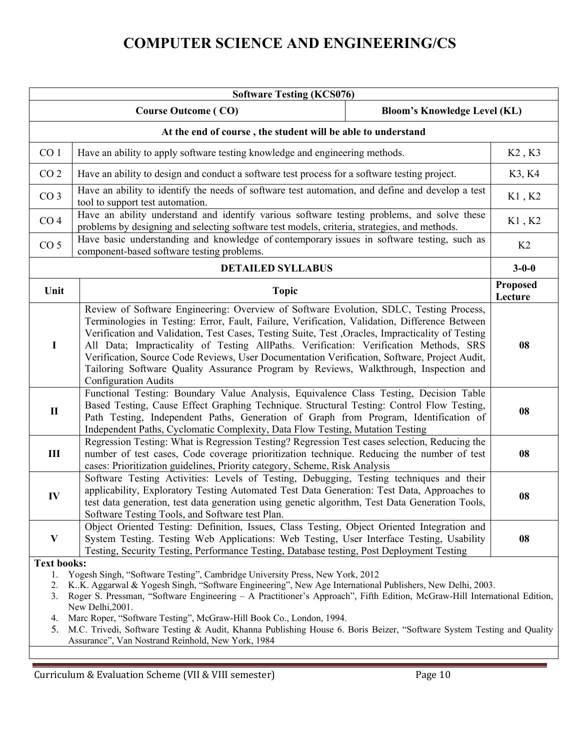| <b>Software Testing (KCS076)</b>                                                                                                                                                                                                                                                                                                                                                                                                                                                                                                                                                                                                            |                                                                                                                                                                                                                                                                                                                                                                                                                                                                                                                                                                                                              |                                     |                            |  |  |
|---------------------------------------------------------------------------------------------------------------------------------------------------------------------------------------------------------------------------------------------------------------------------------------------------------------------------------------------------------------------------------------------------------------------------------------------------------------------------------------------------------------------------------------------------------------------------------------------------------------------------------------------|--------------------------------------------------------------------------------------------------------------------------------------------------------------------------------------------------------------------------------------------------------------------------------------------------------------------------------------------------------------------------------------------------------------------------------------------------------------------------------------------------------------------------------------------------------------------------------------------------------------|-------------------------------------|----------------------------|--|--|
|                                                                                                                                                                                                                                                                                                                                                                                                                                                                                                                                                                                                                                             | <b>Course Outcome (CO)</b>                                                                                                                                                                                                                                                                                                                                                                                                                                                                                                                                                                                   | <b>Bloom's Knowledge Level (KL)</b> |                            |  |  |
|                                                                                                                                                                                                                                                                                                                                                                                                                                                                                                                                                                                                                                             | At the end of course, the student will be able to understand                                                                                                                                                                                                                                                                                                                                                                                                                                                                                                                                                 |                                     |                            |  |  |
| CO <sub>1</sub>                                                                                                                                                                                                                                                                                                                                                                                                                                                                                                                                                                                                                             | Have an ability to apply software testing knowledge and engineering methods.                                                                                                                                                                                                                                                                                                                                                                                                                                                                                                                                 |                                     |                            |  |  |
| CO <sub>2</sub>                                                                                                                                                                                                                                                                                                                                                                                                                                                                                                                                                                                                                             | Have an ability to design and conduct a software test process for a software testing project.                                                                                                                                                                                                                                                                                                                                                                                                                                                                                                                |                                     | K3, K4                     |  |  |
| CO <sub>3</sub>                                                                                                                                                                                                                                                                                                                                                                                                                                                                                                                                                                                                                             | Have an ability to identify the needs of software test automation, and define and develop a test<br>tool to support test automation.                                                                                                                                                                                                                                                                                                                                                                                                                                                                         |                                     | K1, K2                     |  |  |
| CO <sub>4</sub>                                                                                                                                                                                                                                                                                                                                                                                                                                                                                                                                                                                                                             | Have an ability understand and identify various software testing problems, and solve these<br>problems by designing and selecting software test models, criteria, strategies, and methods.                                                                                                                                                                                                                                                                                                                                                                                                                   |                                     | K1, K2                     |  |  |
| CO <sub>5</sub>                                                                                                                                                                                                                                                                                                                                                                                                                                                                                                                                                                                                                             | Have basic understanding and knowledge of contemporary issues in software testing, such as<br>component-based software testing problems.                                                                                                                                                                                                                                                                                                                                                                                                                                                                     |                                     | K2                         |  |  |
|                                                                                                                                                                                                                                                                                                                                                                                                                                                                                                                                                                                                                                             | <b>DETAILED SYLLABUS</b>                                                                                                                                                                                                                                                                                                                                                                                                                                                                                                                                                                                     |                                     | $3 - 0 - 0$                |  |  |
| Unit                                                                                                                                                                                                                                                                                                                                                                                                                                                                                                                                                                                                                                        | <b>Topic</b>                                                                                                                                                                                                                                                                                                                                                                                                                                                                                                                                                                                                 |                                     | <b>Proposed</b><br>Lecture |  |  |
| $\mathbf I$                                                                                                                                                                                                                                                                                                                                                                                                                                                                                                                                                                                                                                 | Review of Software Engineering: Overview of Software Evolution, SDLC, Testing Process,<br>Terminologies in Testing: Error, Fault, Failure, Verification, Validation, Difference Between<br>Verification and Validation, Test Cases, Testing Suite, Test , Oracles, Impracticality of Testing<br>All Data; Impracticality of Testing AllPaths. Verification: Verification Methods, SRS<br>Verification, Source Code Reviews, User Documentation Verification, Software, Project Audit,<br>Tailoring Software Quality Assurance Program by Reviews, Walkthrough, Inspection and<br><b>Configuration Audits</b> |                                     | 08                         |  |  |
| $\mathbf{I}$                                                                                                                                                                                                                                                                                                                                                                                                                                                                                                                                                                                                                                | Functional Testing: Boundary Value Analysis, Equivalence Class Testing, Decision Table<br>Based Testing, Cause Effect Graphing Technique. Structural Testing: Control Flow Testing,<br>Path Testing, Independent Paths, Generation of Graph from Program, Identification of<br>Independent Paths, Cyclomatic Complexity, Data Flow Testing, Mutation Testing                                                                                                                                                                                                                                                 |                                     | 08                         |  |  |
| $\mathbf{III}$                                                                                                                                                                                                                                                                                                                                                                                                                                                                                                                                                                                                                              | Regression Testing: What is Regression Testing? Regression Test cases selection, Reducing the<br>number of test cases, Code coverage prioritization technique. Reducing the number of test<br>cases: Prioritization guidelines, Priority category, Scheme, Risk Analysis                                                                                                                                                                                                                                                                                                                                     |                                     | 08                         |  |  |
| IV                                                                                                                                                                                                                                                                                                                                                                                                                                                                                                                                                                                                                                          | Software Testing Activities: Levels of Testing, Debugging, Testing techniques and their<br>applicability, Exploratory Testing Automated Test Data Generation: Test Data, Approaches to<br>test data generation, test data generation using genetic algorithm, Test Data Generation Tools,<br>Software Testing Tools, and Software test Plan.                                                                                                                                                                                                                                                                 |                                     | 08                         |  |  |
| V                                                                                                                                                                                                                                                                                                                                                                                                                                                                                                                                                                                                                                           | Object Oriented Testing: Definition, Issues, Class Testing, Object Oriented Integration and<br>System Testing. Testing Web Applications: Web Testing, User Interface Testing, Usability<br>Testing, Security Testing, Performance Testing, Database testing, Post Deployment Testing                                                                                                                                                                                                                                                                                                                         |                                     | 08                         |  |  |
| <b>Text books:</b><br>Yogesh Singh, "Software Testing", Cambridge University Press, New York, 2012<br>1.<br>K.K. Aggarwal & Yogesh Singh, "Software Engineering", New Age International Publishers, New Delhi, 2003.<br>Roger S. Pressman, "Software Engineering - A Practitioner's Approach", Fifth Edition, McGraw-Hill International Edition,<br>3.<br>New Delhi, 2001.<br>Marc Roper, "Software Testing", McGraw-Hill Book Co., London, 1994.<br>4.<br>M.C. Trivedi, Software Testing & Audit, Khanna Publishing House 6. Boris Beizer, "Software System Testing and Quality<br>5.<br>Assurance", Van Nostrand Reinhold, New York, 1984 |                                                                                                                                                                                                                                                                                                                                                                                                                                                                                                                                                                                                              |                                     |                            |  |  |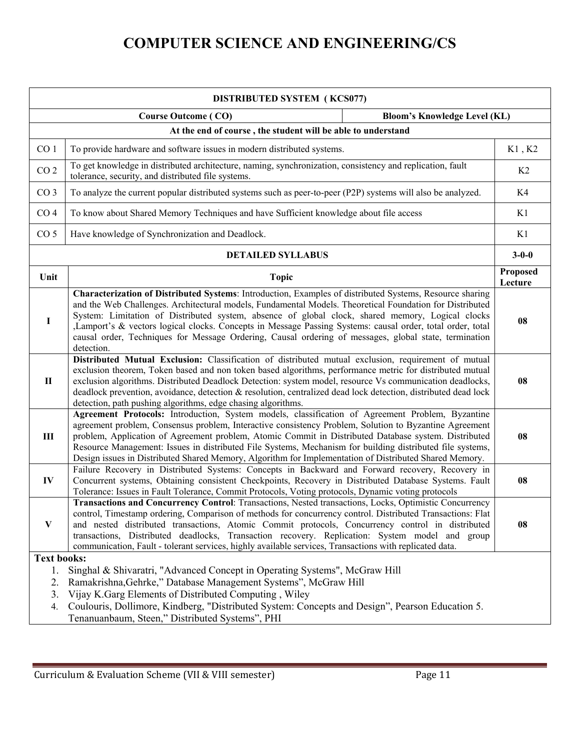| <b>DISTRIBUTED SYSTEM (KCS077)</b> |                                                                                                                                                                                                                                                                                                                                                                                                                                                                                                                                                              |                     |  |  |  |
|------------------------------------|--------------------------------------------------------------------------------------------------------------------------------------------------------------------------------------------------------------------------------------------------------------------------------------------------------------------------------------------------------------------------------------------------------------------------------------------------------------------------------------------------------------------------------------------------------------|---------------------|--|--|--|
|                                    | <b>Course Outcome (CO)</b><br><b>Bloom's Knowledge Level (KL)</b>                                                                                                                                                                                                                                                                                                                                                                                                                                                                                            |                     |  |  |  |
|                                    | At the end of course, the student will be able to understand                                                                                                                                                                                                                                                                                                                                                                                                                                                                                                 |                     |  |  |  |
| CO <sub>1</sub>                    | To provide hardware and software issues in modern distributed systems.                                                                                                                                                                                                                                                                                                                                                                                                                                                                                       | K1, K2              |  |  |  |
| CO <sub>2</sub>                    | To get knowledge in distributed architecture, naming, synchronization, consistency and replication, fault<br>tolerance, security, and distributed file systems.                                                                                                                                                                                                                                                                                                                                                                                              | K <sub>2</sub>      |  |  |  |
| CO <sub>3</sub>                    | To analyze the current popular distributed systems such as peer-to-peer (P2P) systems will also be analyzed.                                                                                                                                                                                                                                                                                                                                                                                                                                                 | K4                  |  |  |  |
| CO <sub>4</sub>                    | To know about Shared Memory Techniques and have Sufficient knowledge about file access                                                                                                                                                                                                                                                                                                                                                                                                                                                                       | K1                  |  |  |  |
| CO <sub>5</sub>                    | Have knowledge of Synchronization and Deadlock.                                                                                                                                                                                                                                                                                                                                                                                                                                                                                                              | K1                  |  |  |  |
|                                    | <b>DETAILED SYLLABUS</b>                                                                                                                                                                                                                                                                                                                                                                                                                                                                                                                                     | $3 - 0 - 0$         |  |  |  |
| Unit                               | <b>Topic</b>                                                                                                                                                                                                                                                                                                                                                                                                                                                                                                                                                 | Proposed<br>Lecture |  |  |  |
| 1                                  | Characterization of Distributed Systems: Introduction, Examples of distributed Systems, Resource sharing<br>and the Web Challenges. Architectural models, Fundamental Models. Theoretical Foundation for Distributed<br>System: Limitation of Distributed system, absence of global clock, shared memory, Logical clocks<br>Lamport's & vectors logical clocks. Concepts in Message Passing Systems: causal order, total order, total<br>causal order, Techniques for Message Ordering, Causal ordering of messages, global state, termination<br>detection. | 08                  |  |  |  |
| П                                  | Distributed Mutual Exclusion: Classification of distributed mutual exclusion, requirement of mutual<br>exclusion theorem, Token based and non token based algorithms, performance metric for distributed mutual<br>exclusion algorithms. Distributed Deadlock Detection: system model, resource Vs communication deadlocks,<br>deadlock prevention, avoidance, detection & resolution, centralized dead lock detection, distributed dead lock<br>detection, path pushing algorithms, edge chasing algorithms.                                                | 08                  |  |  |  |
| $\mathbf{III}$                     | Agreement Protocols: Introduction, System models, classification of Agreement Problem, Byzantine<br>agreement problem, Consensus problem, Interactive consistency Problem, Solution to Byzantine Agreement<br>problem, Application of Agreement problem, Atomic Commit in Distributed Database system. Distributed<br>Resource Management: Issues in distributed File Systems, Mechanism for building distributed file systems,<br>Design issues in Distributed Shared Memory, Algorithm for Implementation of Distributed Shared Memory.                    | 08                  |  |  |  |
| IV                                 | Failure Recovery in Distributed Systems: Concepts in Backward and Forward recovery, Recovery in<br>Concurrent systems, Obtaining consistent Checkpoints, Recovery in Distributed Database Systems. Fault<br>Tolerance: Issues in Fault Tolerance, Commit Protocols, Voting protocols, Dynamic voting protocols                                                                                                                                                                                                                                               | 08                  |  |  |  |
| V                                  | Transactions and Concurrency Control: Transactions, Nested transactions, Locks, Optimistic Concurrency<br>control, Timestamp ordering, Comparison of methods for concurrency control. Distributed Transactions: Flat<br>and nested distributed transactions, Atomic Commit protocols, Concurrency control in distributed<br>transactions, Distributed deadlocks, Transaction recovery. Replication: System model and group<br>communication, Fault - tolerant services, highly available services, Transactions with replicated data.                        | 08                  |  |  |  |
|                                    | <b>Text books:</b>                                                                                                                                                                                                                                                                                                                                                                                                                                                                                                                                           |                     |  |  |  |
| 1.                                 | Singhal & Shivaratri, "Advanced Concept in Operating Systems", McGraw Hill                                                                                                                                                                                                                                                                                                                                                                                                                                                                                   |                     |  |  |  |
| 2.<br>3.                           | Ramakrishna, Gehrke," Database Management Systems", McGraw Hill<br>Vijay K.Garg Elements of Distributed Computing, Wiley                                                                                                                                                                                                                                                                                                                                                                                                                                     |                     |  |  |  |
| 4.                                 | Coulouris, Dollimore, Kindberg, "Distributed System: Concepts and Design", Pearson Education 5.                                                                                                                                                                                                                                                                                                                                                                                                                                                              |                     |  |  |  |
|                                    | Tenanuanbaum, Steen," Distributed Systems", PHI                                                                                                                                                                                                                                                                                                                                                                                                                                                                                                              |                     |  |  |  |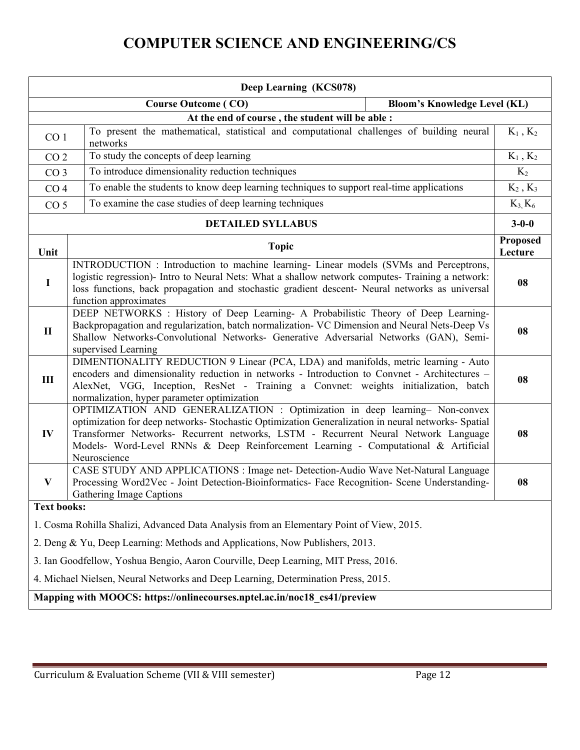| Deep Learning (KCS078)                                                            |                                                                                                                                                                                                                                                                                                                                                                               |                                     |                                 |  |  |
|-----------------------------------------------------------------------------------|-------------------------------------------------------------------------------------------------------------------------------------------------------------------------------------------------------------------------------------------------------------------------------------------------------------------------------------------------------------------------------|-------------------------------------|---------------------------------|--|--|
|                                                                                   | <b>Course Outcome (CO)</b>                                                                                                                                                                                                                                                                                                                                                    | <b>Bloom's Knowledge Level (KL)</b> |                                 |  |  |
|                                                                                   | At the end of course, the student will be able :                                                                                                                                                                                                                                                                                                                              |                                     |                                 |  |  |
| CO <sub>1</sub>                                                                   | To present the mathematical, statistical and computational challenges of building neural<br>networks                                                                                                                                                                                                                                                                          |                                     | $\mathrm{K}_1$ , $\mathrm{K}_2$ |  |  |
| CO <sub>2</sub>                                                                   | To study the concepts of deep learning                                                                                                                                                                                                                                                                                                                                        |                                     | $\mathrm{K}_1$ , $\mathrm{K}_2$ |  |  |
| CO <sub>3</sub>                                                                   | To introduce dimensionality reduction techniques                                                                                                                                                                                                                                                                                                                              |                                     | $K_2$                           |  |  |
| CO <sub>4</sub>                                                                   | To enable the students to know deep learning techniques to support real-time applications                                                                                                                                                                                                                                                                                     |                                     | $K_2$ , $K_3$                   |  |  |
| CO <sub>5</sub>                                                                   | To examine the case studies of deep learning techniques                                                                                                                                                                                                                                                                                                                       |                                     | $K_3, K_6$                      |  |  |
|                                                                                   | <b>DETAILED SYLLABUS</b>                                                                                                                                                                                                                                                                                                                                                      |                                     | $3 - 0 - 0$                     |  |  |
| Unit                                                                              | <b>Topic</b>                                                                                                                                                                                                                                                                                                                                                                  |                                     | <b>Proposed</b><br>Lecture      |  |  |
| $\mathbf I$                                                                       | INTRODUCTION : Introduction to machine learning- Linear models (SVMs and Perceptrons,<br>logistic regression)- Intro to Neural Nets: What a shallow network computes- Training a network:<br>loss functions, back propagation and stochastic gradient descent- Neural networks as universal<br>function approximates                                                          |                                     | 08                              |  |  |
| $\mathbf{I}$                                                                      | DEEP NETWORKS : History of Deep Learning- A Probabilistic Theory of Deep Learning-<br>Backpropagation and regularization, batch normalization- VC Dimension and Neural Nets-Deep Vs<br>Shallow Networks-Convolutional Networks- Generative Adversarial Networks (GAN), Semi-<br>supervised Learning                                                                           |                                     | 08                              |  |  |
| III                                                                               | DIMENTIONALITY REDUCTION 9 Linear (PCA, LDA) and manifolds, metric learning - Auto<br>encoders and dimensionality reduction in networks - Introduction to Convnet - Architectures -<br>AlexNet, VGG, Inception, ResNet - Training a Convnet: weights initialization, batch<br>normalization, hyper parameter optimization                                                     |                                     | 08                              |  |  |
| IV                                                                                | OPTIMIZATION AND GENERALIZATION : Optimization in deep learning- Non-convex<br>optimization for deep networks- Stochastic Optimization Generalization in neural networks- Spatial<br>Transformer Networks- Recurrent networks, LSTM - Recurrent Neural Network Language<br>Models- Word-Level RNNs & Deep Reinforcement Learning - Computational & Artificial<br>Neuroscience |                                     | 08                              |  |  |
| $\mathbf{V}$                                                                      | CASE STUDY AND APPLICATIONS : Image net- Detection-Audio Wave Net-Natural Language<br>Processing Word2Vec - Joint Detection-Bioinformatics- Face Recognition- Scene Understanding-<br><b>Gathering Image Captions</b>                                                                                                                                                         |                                     | 08                              |  |  |
|                                                                                   | <b>Text books:</b>                                                                                                                                                                                                                                                                                                                                                            |                                     |                                 |  |  |
|                                                                                   | 1. Cosma Rohilla Shalizi, Advanced Data Analysis from an Elementary Point of View, 2015.                                                                                                                                                                                                                                                                                      |                                     |                                 |  |  |
|                                                                                   | 2. Deng & Yu, Deep Learning: Methods and Applications, Now Publishers, 2013.                                                                                                                                                                                                                                                                                                  |                                     |                                 |  |  |
|                                                                                   | 3. Ian Goodfellow, Yoshua Bengio, Aaron Courville, Deep Learning, MIT Press, 2016.                                                                                                                                                                                                                                                                                            |                                     |                                 |  |  |
| 4. Michael Nielsen, Neural Networks and Deep Learning, Determination Press, 2015. |                                                                                                                                                                                                                                                                                                                                                                               |                                     |                                 |  |  |
|                                                                                   |                                                                                                                                                                                                                                                                                                                                                                               |                                     |                                 |  |  |
| Mapping with MOOCS: https://onlinecourses.nptel.ac.in/noc18_cs41/preview          |                                                                                                                                                                                                                                                                                                                                                                               |                                     |                                 |  |  |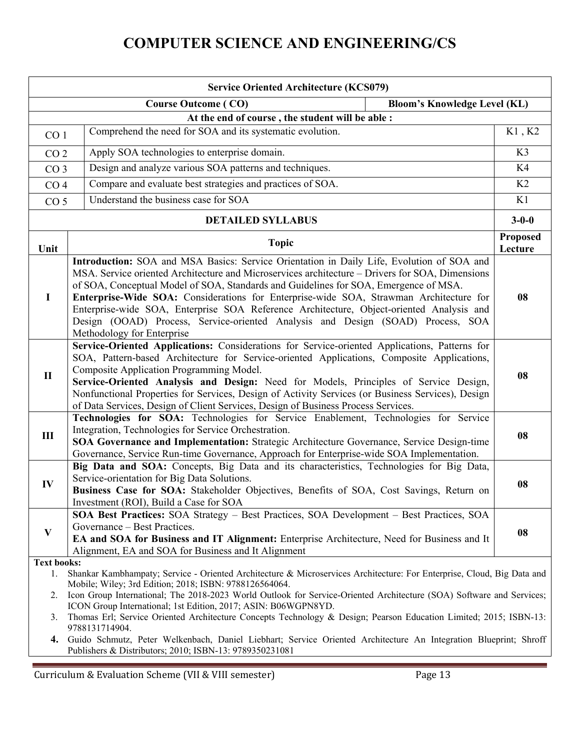| <b>Service Oriented Architecture (KCS079)</b> |                                                                                                                                                                                                                                                                                                                                                                                                                                                                                                                                                                                             |                            |  |  |
|-----------------------------------------------|---------------------------------------------------------------------------------------------------------------------------------------------------------------------------------------------------------------------------------------------------------------------------------------------------------------------------------------------------------------------------------------------------------------------------------------------------------------------------------------------------------------------------------------------------------------------------------------------|----------------------------|--|--|
|                                               | <b>Course Outcome (CO)</b><br><b>Bloom's Knowledge Level (KL)</b>                                                                                                                                                                                                                                                                                                                                                                                                                                                                                                                           |                            |  |  |
|                                               | At the end of course, the student will be able :                                                                                                                                                                                                                                                                                                                                                                                                                                                                                                                                            |                            |  |  |
| CO <sub>1</sub>                               | Comprehend the need for SOA and its systematic evolution.                                                                                                                                                                                                                                                                                                                                                                                                                                                                                                                                   | K1, K2                     |  |  |
| CO <sub>2</sub>                               | Apply SOA technologies to enterprise domain.                                                                                                                                                                                                                                                                                                                                                                                                                                                                                                                                                | K3                         |  |  |
| CO <sub>3</sub>                               | Design and analyze various SOA patterns and techniques.                                                                                                                                                                                                                                                                                                                                                                                                                                                                                                                                     | K4                         |  |  |
| CO <sub>4</sub>                               | Compare and evaluate best strategies and practices of SOA.                                                                                                                                                                                                                                                                                                                                                                                                                                                                                                                                  | K2                         |  |  |
| CO <sub>5</sub>                               | Understand the business case for SOA                                                                                                                                                                                                                                                                                                                                                                                                                                                                                                                                                        | K1                         |  |  |
|                                               | <b>DETAILED SYLLABUS</b>                                                                                                                                                                                                                                                                                                                                                                                                                                                                                                                                                                    | $3 - 0 - 0$                |  |  |
| Unit                                          | <b>Topic</b>                                                                                                                                                                                                                                                                                                                                                                                                                                                                                                                                                                                | <b>Proposed</b><br>Lecture |  |  |
| $\mathbf I$                                   | Introduction: SOA and MSA Basics: Service Orientation in Daily Life, Evolution of SOA and<br>MSA. Service oriented Architecture and Microservices architecture – Drivers for SOA, Dimensions<br>of SOA, Conceptual Model of SOA, Standards and Guidelines for SOA, Emergence of MSA.<br>Enterprise-Wide SOA: Considerations for Enterprise-wide SOA, Strawman Architecture for<br>Enterprise-wide SOA, Enterprise SOA Reference Architecture, Object-oriented Analysis and<br>Design (OOAD) Process, Service-oriented Analysis and Design (SOAD) Process, SOA<br>Methodology for Enterprise | 08                         |  |  |
| $\mathbf{I}$                                  | Service-Oriented Applications: Considerations for Service-oriented Applications, Patterns for<br>SOA, Pattern-based Architecture for Service-oriented Applications, Composite Applications,<br>Composite Application Programming Model.<br>Service-Oriented Analysis and Design: Need for Models, Principles of Service Design,<br>Nonfunctional Properties for Services, Design of Activity Services (or Business Services), Design<br>of Data Services, Design of Client Services, Design of Business Process Services.                                                                   | 08                         |  |  |
| $\rm III$                                     | Technologies for SOA: Technologies for Service Enablement, Technologies for Service<br>Integration, Technologies for Service Orchestration.<br><b>SOA Governance and Implementation:</b> Strategic Architecture Governance, Service Design-time<br>Governance, Service Run-time Governance, Approach for Enterprise-wide SOA Implementation.                                                                                                                                                                                                                                                | 08                         |  |  |
| IV                                            | Big Data and SOA: Concepts, Big Data and its characteristics, Technologies for Big Data,<br>Service-orientation for Big Data Solutions.<br>Business Case for SOA: Stakeholder Objectives, Benefits of SOA, Cost Savings, Return on<br>Investment (ROI), Build a Case for SOA                                                                                                                                                                                                                                                                                                                | 08                         |  |  |
| $\mathbf{V}$                                  | SOA Best Practices: SOA Strategy - Best Practices, SOA Development - Best Practices, SOA<br>Governance – Best Practices.<br>EA and SOA for Business and IT Alignment: Enterprise Architecture, Need for Business and It<br>Alignment, EA and SOA for Business and It Alignment                                                                                                                                                                                                                                                                                                              | 08                         |  |  |
| <b>Text books:</b><br>1.<br>2.                | Shankar Kambhampaty; Service - Oriented Architecture & Microservices Architecture: For Enterprise, Cloud, Big Data and<br>Mobile; Wiley; 3rd Edition; 2018; ISBN: 9788126564064.<br>Icon Group International; The 2018-2023 World Outlook for Service-Oriented Architecture (SOA) Software and Services;<br>ICON Group International; 1st Edition, 2017; ASIN: B06WGPN8YD.                                                                                                                                                                                                                  |                            |  |  |
| 3.<br>4.                                      | Thomas Erl; Service Oriented Architecture Concepts Technology & Design; Pearson Education Limited; 2015; ISBN-13:<br>9788131714904.<br>Guido Schmutz, Peter Welkenbach, Daniel Liebhart; Service Oriented Architecture An Integration Blueprint; Shroff<br>Publishers & Distributors; 2010; ISBN-13: 9789350231081                                                                                                                                                                                                                                                                          |                            |  |  |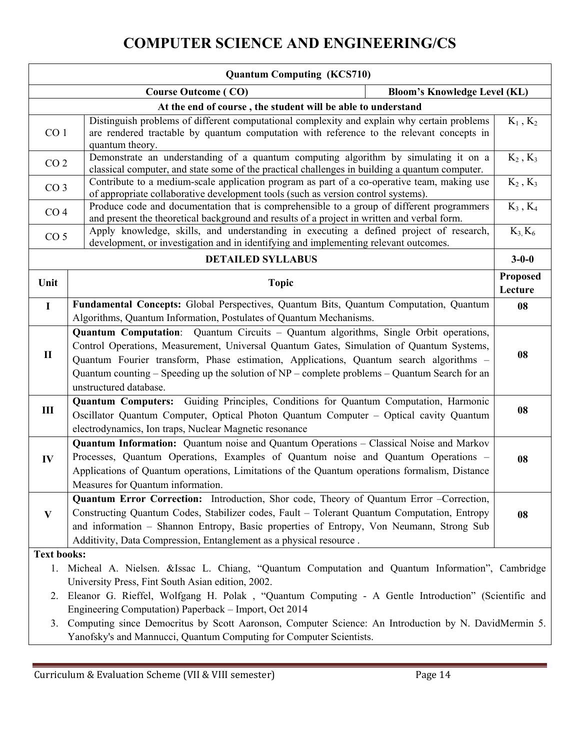| <b>Quantum Computing (KCS710)</b>                                                                                                                                                                        |                                                                                                                                                                                                                                                                                                                                                                                                                    |                                 |  |  |
|----------------------------------------------------------------------------------------------------------------------------------------------------------------------------------------------------------|--------------------------------------------------------------------------------------------------------------------------------------------------------------------------------------------------------------------------------------------------------------------------------------------------------------------------------------------------------------------------------------------------------------------|---------------------------------|--|--|
|                                                                                                                                                                                                          | <b>Bloom's Knowledge Level (KL)</b><br><b>Course Outcome (CO)</b>                                                                                                                                                                                                                                                                                                                                                  |                                 |  |  |
|                                                                                                                                                                                                          | At the end of course, the student will be able to understand                                                                                                                                                                                                                                                                                                                                                       |                                 |  |  |
| CO <sub>1</sub>                                                                                                                                                                                          | Distinguish problems of different computational complexity and explain why certain problems<br>are rendered tractable by quantum computation with reference to the relevant concepts in<br>quantum theory.                                                                                                                                                                                                         | $K_1, K_2$                      |  |  |
| Demonstrate an understanding of a quantum computing algorithm by simulating it on a<br>CO <sub>2</sub><br>classical computer, and state some of the practical challenges in building a quantum computer. |                                                                                                                                                                                                                                                                                                                                                                                                                    | $K_2$ , $K_3$                   |  |  |
| CO <sub>3</sub>                                                                                                                                                                                          | Contribute to a medium-scale application program as part of a co-operative team, making use<br>of appropriate collaborative development tools (such as version control systems).                                                                                                                                                                                                                                   | $\mathrm{K}_2$ , $\mathrm{K}_3$ |  |  |
| CO <sub>4</sub>                                                                                                                                                                                          | Produce code and documentation that is comprehensible to a group of different programmers<br>and present the theoretical background and results of a project in written and verbal form.                                                                                                                                                                                                                           | $K_3$ , $K_4$                   |  |  |
| CO <sub>5</sub>                                                                                                                                                                                          | Apply knowledge, skills, and understanding in executing a defined project of research,<br>development, or investigation and in identifying and implementing relevant outcomes.                                                                                                                                                                                                                                     | $K_3, K_6$                      |  |  |
|                                                                                                                                                                                                          | <b>DETAILED SYLLABUS</b>                                                                                                                                                                                                                                                                                                                                                                                           | $3 - 0 - 0$                     |  |  |
| Unit                                                                                                                                                                                                     | <b>Topic</b>                                                                                                                                                                                                                                                                                                                                                                                                       | <b>Proposed</b><br>Lecture      |  |  |
| $\mathbf I$                                                                                                                                                                                              | Fundamental Concepts: Global Perspectives, Quantum Bits, Quantum Computation, Quantum<br>Algorithms, Quantum Information, Postulates of Quantum Mechanisms.                                                                                                                                                                                                                                                        | 08                              |  |  |
| $\mathbf{I}$                                                                                                                                                                                             | <b>Quantum Computation:</b> Quantum Circuits – Quantum algorithms, Single Orbit operations,<br>Control Operations, Measurement, Universal Quantum Gates, Simulation of Quantum Systems,<br>Quantum Fourier transform, Phase estimation, Applications, Quantum search algorithms -<br>Quantum counting $-$ Speeding up the solution of NP $-$ complete problems $-$ Quantum Search for an<br>unstructured database. | 08                              |  |  |
| III                                                                                                                                                                                                      | Quantum Computers: Guiding Principles, Conditions for Quantum Computation, Harmonic<br>Oscillator Quantum Computer, Optical Photon Quantum Computer - Optical cavity Quantum<br>electrodynamics, Ion traps, Nuclear Magnetic resonance                                                                                                                                                                             | 08                              |  |  |
| IV                                                                                                                                                                                                       | Quantum Information: Quantum noise and Quantum Operations - Classical Noise and Markov<br>Processes, Quantum Operations, Examples of Quantum noise and Quantum Operations -<br>Applications of Quantum operations, Limitations of the Quantum operations formalism, Distance<br>Measures for Quantum information.                                                                                                  | 08                              |  |  |
| $\mathbf{V}$                                                                                                                                                                                             | Quantum Error Correction: Introduction, Shor code, Theory of Quantum Error -Correction,<br>Constructing Quantum Codes, Stabilizer codes, Fault - Tolerant Quantum Computation, Entropy<br>and information - Shannon Entropy, Basic properties of Entropy, Von Neumann, Strong Sub<br>Additivity, Data Compression, Entanglement as a physical resource.                                                            | 08                              |  |  |
| <b>Text books:</b>                                                                                                                                                                                       |                                                                                                                                                                                                                                                                                                                                                                                                                    |                                 |  |  |
| 1. Micheal A. Nielsen. & Issac L. Chiang, "Quantum Computation and Quantum Information", Cambridge<br>University Press, Fint South Asian edition, 2002.                                                  |                                                                                                                                                                                                                                                                                                                                                                                                                    |                                 |  |  |
|                                                                                                                                                                                                          | 2. Eleanor G. Rieffel, Wolfgang H. Polak , "Quantum Computing - A Gentle Introduction" (Scientific and<br>Engineering Computation) Paperback - Import, Oct 2014                                                                                                                                                                                                                                                    |                                 |  |  |
| 3.                                                                                                                                                                                                       | Computing since Democritus by Scott Aaronson, Computer Science: An Introduction by N. DavidMermin 5.<br>Yanofsky's and Mannucci, Quantum Computing for Computer Scientists.                                                                                                                                                                                                                                        |                                 |  |  |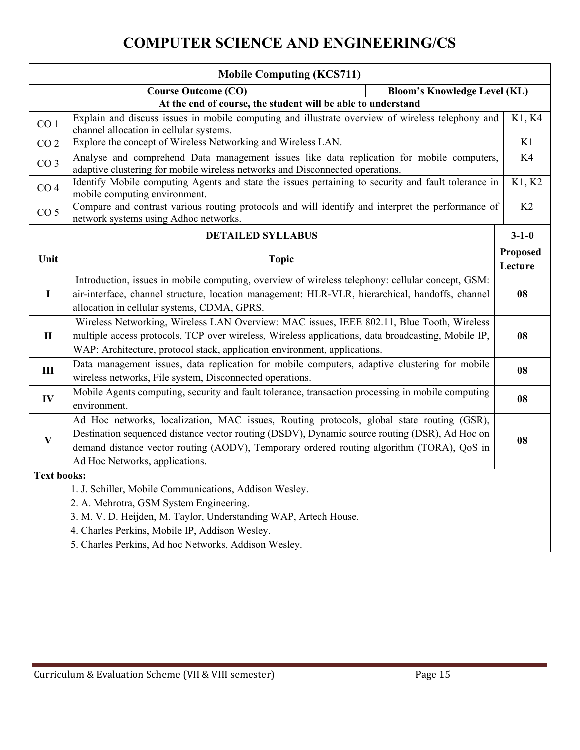|                                                                  | <b>Mobile Computing (KCS711)</b>                                                                                                                                                                                                                                                                                          |                            |  |  |  |
|------------------------------------------------------------------|---------------------------------------------------------------------------------------------------------------------------------------------------------------------------------------------------------------------------------------------------------------------------------------------------------------------------|----------------------------|--|--|--|
|                                                                  | <b>Bloom's Knowledge Level (KL)</b><br><b>Course Outcome (CO)</b>                                                                                                                                                                                                                                                         |                            |  |  |  |
|                                                                  | At the end of course, the student will be able to understand                                                                                                                                                                                                                                                              |                            |  |  |  |
| CO <sub>1</sub>                                                  | Explain and discuss issues in mobile computing and illustrate overview of wireless telephony and<br>channel allocation in cellular systems.                                                                                                                                                                               | K1, K4                     |  |  |  |
| CO <sub>2</sub>                                                  | Explore the concept of Wireless Networking and Wireless LAN.                                                                                                                                                                                                                                                              | K1                         |  |  |  |
| CO <sub>3</sub>                                                  | Analyse and comprehend Data management issues like data replication for mobile computers,<br>adaptive clustering for mobile wireless networks and Disconnected operations.                                                                                                                                                | K4                         |  |  |  |
| CO <sub>4</sub>                                                  | Identify Mobile computing Agents and state the issues pertaining to security and fault tolerance in<br>mobile computing environment.                                                                                                                                                                                      | K1, K2                     |  |  |  |
| CO <sub>5</sub>                                                  | Compare and contrast various routing protocols and will identify and interpret the performance of<br>network systems using Adhoc networks.                                                                                                                                                                                | K2                         |  |  |  |
|                                                                  | <b>DETAILED SYLLABUS</b>                                                                                                                                                                                                                                                                                                  | $3 - 1 - 0$                |  |  |  |
| Unit                                                             | <b>Topic</b>                                                                                                                                                                                                                                                                                                              | <b>Proposed</b><br>Lecture |  |  |  |
| $\mathbf I$                                                      | Introduction, issues in mobile computing, overview of wireless telephony: cellular concept, GSM:<br>air-interface, channel structure, location management: HLR-VLR, hierarchical, handoffs, channel<br>allocation in cellular systems, CDMA, GPRS.                                                                        | 08                         |  |  |  |
| $\mathbf{I}$                                                     | Wireless Networking, Wireless LAN Overview: MAC issues, IEEE 802.11, Blue Tooth, Wireless<br>multiple access protocols, TCP over wireless, Wireless applications, data broadcasting, Mobile IP,<br>WAP: Architecture, protocol stack, application environment, applications.                                              | 08                         |  |  |  |
| $\mathbf{I}$                                                     | Data management issues, data replication for mobile computers, adaptive clustering for mobile<br>wireless networks, File system, Disconnected operations.                                                                                                                                                                 | 08                         |  |  |  |
| IV                                                               | Mobile Agents computing, security and fault tolerance, transaction processing in mobile computing<br>environment.                                                                                                                                                                                                         | 08                         |  |  |  |
| $\mathbf{V}$                                                     | Ad Hoc networks, localization, MAC issues, Routing protocols, global state routing (GSR),<br>Destination sequenced distance vector routing (DSDV), Dynamic source routing (DSR), Ad Hoc on<br>demand distance vector routing (AODV), Temporary ordered routing algorithm (TORA), QoS in<br>Ad Hoc Networks, applications. | 08                         |  |  |  |
| <b>Text books:</b>                                               |                                                                                                                                                                                                                                                                                                                           |                            |  |  |  |
| 1. J. Schiller, Mobile Communications, Addison Wesley.           |                                                                                                                                                                                                                                                                                                                           |                            |  |  |  |
| 2. A. Mehrotra, GSM System Engineering.                          |                                                                                                                                                                                                                                                                                                                           |                            |  |  |  |
| 3. M. V. D. Heijden, M. Taylor, Understanding WAP, Artech House. |                                                                                                                                                                                                                                                                                                                           |                            |  |  |  |
|                                                                  | 4. Charles Perkins, Mobile IP, Addison Wesley.                                                                                                                                                                                                                                                                            |                            |  |  |  |
| 5. Charles Perkins, Ad hoc Networks, Addison Wesley.             |                                                                                                                                                                                                                                                                                                                           |                            |  |  |  |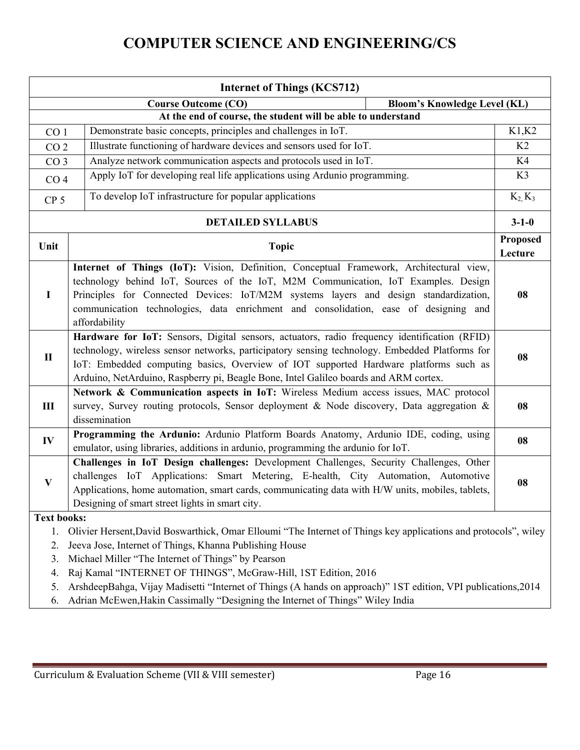| <b>Internet of Things (KCS712)</b>                                               |                                                                                                                                                                                                                                                                                                                                                                                                                     |                            |  |  |
|----------------------------------------------------------------------------------|---------------------------------------------------------------------------------------------------------------------------------------------------------------------------------------------------------------------------------------------------------------------------------------------------------------------------------------------------------------------------------------------------------------------|----------------------------|--|--|
| <b>Course Outcome (CO)</b><br><b>Bloom's Knowledge Level (KL)</b>                |                                                                                                                                                                                                                                                                                                                                                                                                                     |                            |  |  |
| At the end of course, the student will be able to understand                     |                                                                                                                                                                                                                                                                                                                                                                                                                     |                            |  |  |
| Demonstrate basic concepts, principles and challenges in IoT.<br>CO <sub>1</sub> |                                                                                                                                                                                                                                                                                                                                                                                                                     | K1,K2                      |  |  |
| CO <sub>2</sub>                                                                  | Illustrate functioning of hardware devices and sensors used for IoT.                                                                                                                                                                                                                                                                                                                                                | K <sub>2</sub>             |  |  |
|                                                                                  | Analyze network communication aspects and protocols used in IoT.<br>CO <sub>3</sub>                                                                                                                                                                                                                                                                                                                                 |                            |  |  |
|                                                                                  | Apply IoT for developing real life applications using Ardunio programming.<br>CO <sub>4</sub>                                                                                                                                                                                                                                                                                                                       |                            |  |  |
| CP <sub>5</sub>                                                                  | To develop IoT infrastructure for popular applications                                                                                                                                                                                                                                                                                                                                                              | $K_2$ , $K_3$              |  |  |
| <b>DETAILED SYLLABUS</b>                                                         |                                                                                                                                                                                                                                                                                                                                                                                                                     | $3 - 1 - 0$                |  |  |
| Unit                                                                             | <b>Topic</b>                                                                                                                                                                                                                                                                                                                                                                                                        | <b>Proposed</b><br>Lecture |  |  |
| $\mathbf I$                                                                      | Internet of Things (IoT): Vision, Definition, Conceptual Framework, Architectural view,<br>technology behind IoT, Sources of the IoT, M2M Communication, IoT Examples. Design<br>Principles for Connected Devices: IoT/M2M systems layers and design standardization,<br>communication technologies, data enrichment and consolidation, ease of designing and<br>affordability                                      | 08                         |  |  |
| $\mathbf{I}$                                                                     | Hardware for IoT: Sensors, Digital sensors, actuators, radio frequency identification (RFID)<br>technology, wireless sensor networks, participatory sensing technology. Embedded Platforms for<br>IoT: Embedded computing basics, Overview of IOT supported Hardware platforms such as<br>Arduino, NetArduino, Raspberry pi, Beagle Bone, Intel Galileo boards and ARM cortex.                                      |                            |  |  |
| $\mathbf{I}$                                                                     | Network & Communication aspects in IoT: Wireless Medium access issues, MAC protocol<br>survey, Survey routing protocols, Sensor deployment & Node discovery, Data aggregation &<br>dissemination                                                                                                                                                                                                                    |                            |  |  |
| IV                                                                               | Programming the Ardunio: Ardunio Platform Boards Anatomy, Ardunio IDE, coding, using<br>emulator, using libraries, additions in ardunio, programming the ardunio for IoT.                                                                                                                                                                                                                                           | 08                         |  |  |
| $\mathbf{V}$                                                                     | Challenges in IoT Design challenges: Development Challenges, Security Challenges, Other<br>challenges IoT Applications: Smart Metering, E-health, City Automation, Automotive<br>Applications, home automation, smart cards, communicating data with H/W units, mobiles, tablets,<br>Designing of smart street lights in smart city.                                                                                | 08                         |  |  |
| <b>Text books:</b>                                                               |                                                                                                                                                                                                                                                                                                                                                                                                                     |                            |  |  |
| 1.<br>2.<br>3.<br>4.<br>5.                                                       | Olivier Hersent, David Boswarthick, Omar Elloumi "The Internet of Things key applications and protocols", wiley<br>Jeeva Jose, Internet of Things, Khanna Publishing House<br>Michael Miller "The Internet of Things" by Pearson<br>Raj Kamal "INTERNET OF THINGS", McGraw-Hill, 1ST Edition, 2016<br>ArshdeepBahga, Vijay Madisetti "Internet of Things (A hands on approach)" 1ST edition, VPI publications, 2014 |                            |  |  |

6. Adrian McEwen,Hakin Cassimally "Designing the Internet of Things" Wiley India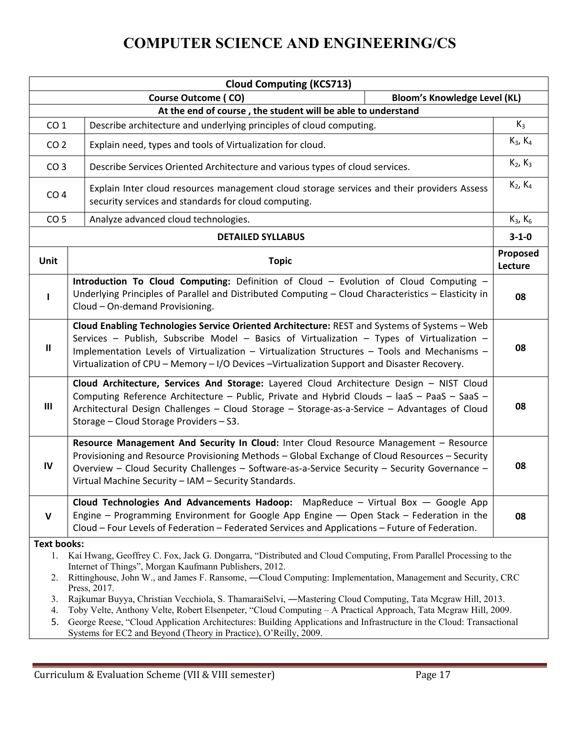| <b>Cloud Computing (KCS713)</b>                                   |                                                                                                                                                                                                                                                                                                                                                                                                  |                     |  |
|-------------------------------------------------------------------|--------------------------------------------------------------------------------------------------------------------------------------------------------------------------------------------------------------------------------------------------------------------------------------------------------------------------------------------------------------------------------------------------|---------------------|--|
| <b>Bloom's Knowledge Level (KL)</b><br><b>Course Outcome (CO)</b> |                                                                                                                                                                                                                                                                                                                                                                                                  |                     |  |
| At the end of course, the student will be able to understand      |                                                                                                                                                                                                                                                                                                                                                                                                  |                     |  |
| CO <sub>1</sub>                                                   | Describe architecture and underlying principles of cloud computing.                                                                                                                                                                                                                                                                                                                              | $K_3$               |  |
| CO <sub>2</sub>                                                   | Explain need, types and tools of Virtualization for cloud.                                                                                                                                                                                                                                                                                                                                       |                     |  |
|                                                                   | CO <sub>3</sub><br>Describe Services Oriented Architecture and various types of cloud services.                                                                                                                                                                                                                                                                                                  |                     |  |
| CO <sub>4</sub>                                                   | Explain Inter cloud resources management cloud storage services and their providers Assess<br>security services and standards for cloud computing.                                                                                                                                                                                                                                               |                     |  |
| CO <sub>5</sub>                                                   | Analyze advanced cloud technologies.                                                                                                                                                                                                                                                                                                                                                             | $K_3, K_6$          |  |
|                                                                   | <b>DETAILED SYLLABUS</b>                                                                                                                                                                                                                                                                                                                                                                         | $3 - 1 - 0$         |  |
| <b>Unit</b>                                                       | <b>Topic</b>                                                                                                                                                                                                                                                                                                                                                                                     | Proposed<br>Lecture |  |
|                                                                   | Introduction To Cloud Computing: Definition of Cloud - Evolution of Cloud Computing -<br>Underlying Principles of Parallel and Distributed Computing - Cloud Characteristics - Elasticity in<br>Cloud - On-demand Provisioning.                                                                                                                                                                  | 08                  |  |
| $\mathbf{II}$                                                     | Cloud Enabling Technologies Service Oriented Architecture: REST and Systems of Systems - Web<br>Services - Publish, Subscribe Model - Basics of Virtualization - Types of Virtualization -<br>08<br>Implementation Levels of Virtualization - Virtualization Structures - Tools and Mechanisms -<br>Virtualization of CPU - Memory - I/O Devices - Virtualization Support and Disaster Recovery. |                     |  |
| $\mathbf{III}$                                                    | Cloud Architecture, Services And Storage: Layered Cloud Architecture Design - NIST Cloud<br>Computing Reference Architecture - Public, Private and Hybrid Clouds - laaS - PaaS - SaaS -<br>Architectural Design Challenges - Cloud Storage - Storage-as-a-Service - Advantages of Cloud<br>Storage - Cloud Storage Providers - S3.                                                               |                     |  |
| IV                                                                | Resource Management And Security In Cloud: Inter Cloud Resource Management - Resource<br>Provisioning and Resource Provisioning Methods - Global Exchange of Cloud Resources - Security<br>Overview - Cloud Security Challenges - Software-as-a-Service Security - Security Governance -<br>Virtual Machine Security - IAM - Security Standards.                                                 |                     |  |
| $\mathsf{V}$                                                      | Cloud Technologies And Advancements Hadoop: MapReduce - Virtual Box - Google App<br>Engine - Programming Environment for Google App Engine - Open Stack - Federation in the<br>Cloud - Four Levels of Federation - Federated Services and Applications - Future of Federation.                                                                                                                   | 08                  |  |
| <b>Text books:</b>                                                |                                                                                                                                                                                                                                                                                                                                                                                                  |                     |  |
|                                                                   | 1. Kai Hwang, Geoffrey C. Fox, Jack G. Dongarra, "Distributed and Cloud Computing, From Parallel Processing to the                                                                                                                                                                                                                                                                               |                     |  |
| 2.                                                                | Internet of Things", Morgan Kaufmann Publishers, 2012.<br>Rittinghouse, John W., and James F. Ransome, —Cloud Computing: Implementation, Management and Security, CRC                                                                                                                                                                                                                            |                     |  |
|                                                                   | Press, 2017.                                                                                                                                                                                                                                                                                                                                                                                     |                     |  |
| 3.                                                                | Rajkumar Buyya, Christian Vecchiola, S. ThamaraiSelvi, —Mastering Cloud Computing, Tata Mcgraw Hill, 2013.                                                                                                                                                                                                                                                                                       |                     |  |
| 4.                                                                | Toby Velte, Anthony Velte, Robert Elsenpeter, "Cloud Computing - A Practical Approach, Tata Mcgraw Hill, 2009.                                                                                                                                                                                                                                                                                   |                     |  |
| 5.                                                                | George Reese, "Cloud Application Architectures: Building Applications and Infrastructure in the Cloud: Transactional<br>Systems for EC2 and Beyond (Theory in Practice), O'Reilly, 2009.                                                                                                                                                                                                         |                     |  |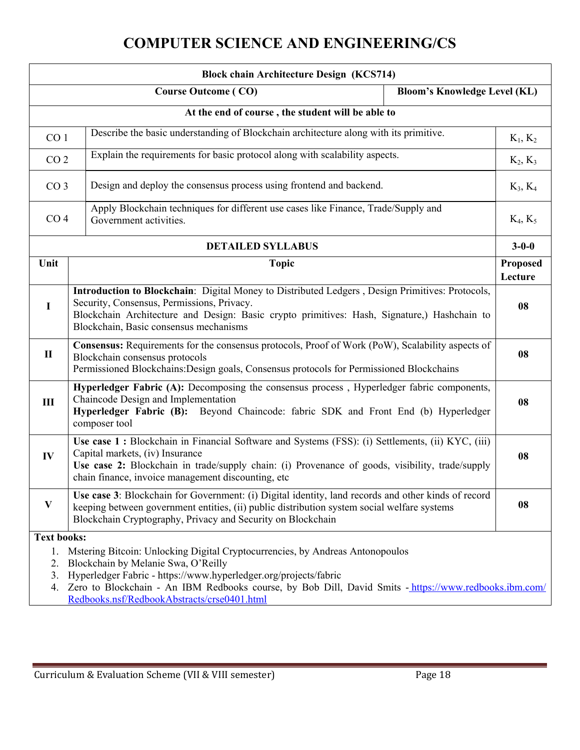| <b>Block chain Architecture Design (KCS714)</b>                                                                                                                                                                                                                                                                                                                          |                                                                                                                                                                                                                                                                                               |                            |  |
|--------------------------------------------------------------------------------------------------------------------------------------------------------------------------------------------------------------------------------------------------------------------------------------------------------------------------------------------------------------------------|-----------------------------------------------------------------------------------------------------------------------------------------------------------------------------------------------------------------------------------------------------------------------------------------------|----------------------------|--|
| <b>Course Outcome (CO)</b><br><b>Bloom's Knowledge Level (KL)</b>                                                                                                                                                                                                                                                                                                        |                                                                                                                                                                                                                                                                                               |                            |  |
| At the end of course, the student will be able to                                                                                                                                                                                                                                                                                                                        |                                                                                                                                                                                                                                                                                               |                            |  |
| Describe the basic understanding of Blockchain architecture along with its primitive.<br>CO <sub>1</sub>                                                                                                                                                                                                                                                                 |                                                                                                                                                                                                                                                                                               | $K_1, K_2$                 |  |
| Explain the requirements for basic protocol along with scalability aspects.<br>CO <sub>2</sub>                                                                                                                                                                                                                                                                           |                                                                                                                                                                                                                                                                                               | $K_2, K_3$                 |  |
|                                                                                                                                                                                                                                                                                                                                                                          | Design and deploy the consensus process using frontend and backend.<br>CO <sub>3</sub>                                                                                                                                                                                                        |                            |  |
| CO <sub>4</sub>                                                                                                                                                                                                                                                                                                                                                          | Apply Blockchain techniques for different use cases like Finance, Trade/Supply and<br>Government activities.                                                                                                                                                                                  | $K_4, K_5$                 |  |
|                                                                                                                                                                                                                                                                                                                                                                          | <b>DETAILED SYLLABUS</b>                                                                                                                                                                                                                                                                      | $3 - 0 - 0$                |  |
| Unit                                                                                                                                                                                                                                                                                                                                                                     | <b>Topic</b>                                                                                                                                                                                                                                                                                  | <b>Proposed</b><br>Lecture |  |
| $\mathbf I$                                                                                                                                                                                                                                                                                                                                                              | Introduction to Blockchain: Digital Money to Distributed Ledgers, Design Primitives: Protocols,<br>Security, Consensus, Permissions, Privacy.<br>Blockchain Architecture and Design: Basic crypto primitives: Hash, Signature,) Hashchain to<br>Blockchain, Basic consensus mechanisms        | 08                         |  |
| $\mathbf{I}$                                                                                                                                                                                                                                                                                                                                                             | Consensus: Requirements for the consensus protocols, Proof of Work (PoW), Scalability aspects of<br>Blockchain consensus protocols<br>Permissioned Blockchains: Design goals, Consensus protocols for Permissioned Blockchains                                                                |                            |  |
| $\mathbf{I}$                                                                                                                                                                                                                                                                                                                                                             | Hyperledger Fabric (A): Decomposing the consensus process, Hyperledger fabric components,<br>Chaincode Design and Implementation<br>Hyperledger Fabric (B): Beyond Chaincode: fabric SDK and Front End (b) Hyperledger<br>composer tool                                                       |                            |  |
| IV                                                                                                                                                                                                                                                                                                                                                                       | Use case 1 : Blockchain in Financial Software and Systems (FSS): (i) Settlements, (ii) KYC, (iii)<br>Capital markets, (iv) Insurance<br>Use case 2: Blockchain in trade/supply chain: (i) Provenance of goods, visibility, trade/supply<br>chain finance, invoice management discounting, etc |                            |  |
| V                                                                                                                                                                                                                                                                                                                                                                        | Use case 3: Blockchain for Government: (i) Digital identity, land records and other kinds of record<br>keeping between government entities, (ii) public distribution system social welfare systems<br>Blockchain Cryptography, Privacy and Security on Blockchain                             | 08                         |  |
| <b>Text books:</b>                                                                                                                                                                                                                                                                                                                                                       |                                                                                                                                                                                                                                                                                               |                            |  |
| Mstering Bitcoin: Unlocking Digital Cryptocurrencies, by Andreas Antonopoulos<br>1.<br>Blockchain by Melanie Swa, O'Reilly<br>2.<br>Hyperledger Fabric - https://www.hyperledger.org/projects/fabric<br>3.<br>Zero to Blockchain - An IBM Redbooks course, by Bob Dill, David Smits - https://www.redbooks.ibm.com/<br>4.<br>Redbooks.nsf/RedbookAbstracts/crse0401.html |                                                                                                                                                                                                                                                                                               |                            |  |